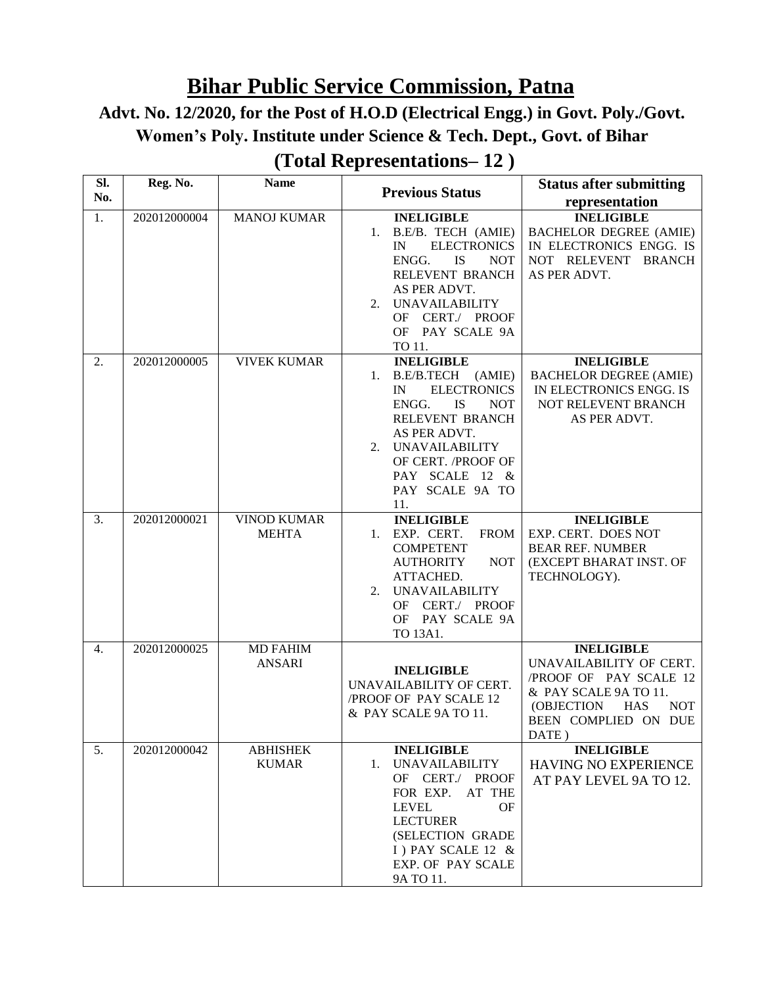## **Bihar Public Service Commission, Patna**

# **Advt. No. 12/2020, for the Post of H.O.D (Electrical Engg.) in Govt. Poly./Govt. Women's Poly. Institute under Science & Tech. Dept., Govt. of Bihar**

| SI. | Reg. No.     | <b>Name</b>                        | <b>Previous Status</b>                                                                                                                                                                                                                           | <b>Status after submitting</b>                                                                                                                                             |
|-----|--------------|------------------------------------|--------------------------------------------------------------------------------------------------------------------------------------------------------------------------------------------------------------------------------------------------|----------------------------------------------------------------------------------------------------------------------------------------------------------------------------|
| No. |              |                                    |                                                                                                                                                                                                                                                  | representation                                                                                                                                                             |
| 1.  | 202012000004 | <b>MANOJ KUMAR</b>                 | <b>INELIGIBLE</b><br>1. B.E/B. TECH (AMIE)<br><b>ELECTRONICS</b><br>$_{\rm IN}$<br>ENGG.<br><b>IS</b><br><b>NOT</b><br>RELEVENT BRANCH<br>AS PER ADVT.<br><b>UNAVAILABILITY</b><br>2.<br>OF CERT./ PROOF<br>OF PAY SCALE 9A<br>TO 11.            | <b>INELIGIBLE</b><br><b>BACHELOR DEGREE (AMIE)</b><br>IN ELECTRONICS ENGG. IS<br>NOT RELEVENT<br><b>BRANCH</b><br>AS PER ADVT.                                             |
| 2.  | 202012000005 | <b>VIVEK KUMAR</b>                 | <b>INELIGIBLE</b><br>B.E/B.TECH (AMIE)<br>1.<br><b>ELECTRONICS</b><br>IN<br><b>IS</b><br>ENGG.<br><b>NOT</b><br>RELEVENT BRANCH<br>AS PER ADVT.<br><b>UNAVAILABILITY</b><br>2.<br>OF CERT. /PROOF OF<br>PAY SCALE 12 &<br>PAY SCALE 9A TO<br>11. | <b>INELIGIBLE</b><br><b>BACHELOR DEGREE (AMIE)</b><br>IN ELECTRONICS ENGG. IS<br>NOT RELEVENT BRANCH<br>AS PER ADVT.                                                       |
| 3.  | 202012000021 | <b>VINOD KUMAR</b><br><b>MEHTA</b> | <b>INELIGIBLE</b><br>EXP. CERT.<br><b>FROM</b><br>1.<br><b>COMPETENT</b><br><b>AUTHORITY</b><br><b>NOT</b><br>ATTACHED.<br><b>UNAVAILABILITY</b><br>2.<br>OF CERT./ PROOF<br>OF PAY SCALE 9A<br>TO 13A1.                                         | <b>INELIGIBLE</b><br>EXP. CERT. DOES NOT<br><b>BEAR REF. NUMBER</b><br>(EXCEPT BHARAT INST. OF<br>TECHNOLOGY).                                                             |
| 4.  | 202012000025 | <b>MD FAHIM</b><br><b>ANSARI</b>   | <b>INELIGIBLE</b><br>UNAVAILABILITY OF CERT.<br>/PROOF OF PAY SCALE 12<br>& PAY SCALE 9A TO 11.                                                                                                                                                  | <b>INELIGIBLE</b><br>UNAVAILABILITY OF CERT.<br>/PROOF OF PAY SCALE 12<br>& PAY SCALE 9A TO 11.<br>(OBJECTION<br><b>HAS</b><br><b>NOT</b><br>BEEN COMPLIED ON DUE<br>DATE) |
| 5.  | 202012000042 | <b>ABHISHEK</b><br><b>KUMAR</b>    | <b>INELIGIBLE</b><br><b>UNAVAILABILITY</b><br>1.<br>OF CERT./ PROOF<br>AT THE<br>FOR EXP.<br>LEVEL<br>OF<br><b>LECTURER</b><br>(SELECTION GRADE<br>I) PAY SCALE 12 &<br>EXP. OF PAY SCALE<br>9A TO 11.                                           | <b>INELIGIBLE</b><br>HAVING NO EXPERIENCE<br>AT PAY LEVEL 9A TO 12.                                                                                                        |

#### **(Total Representations– 12 )**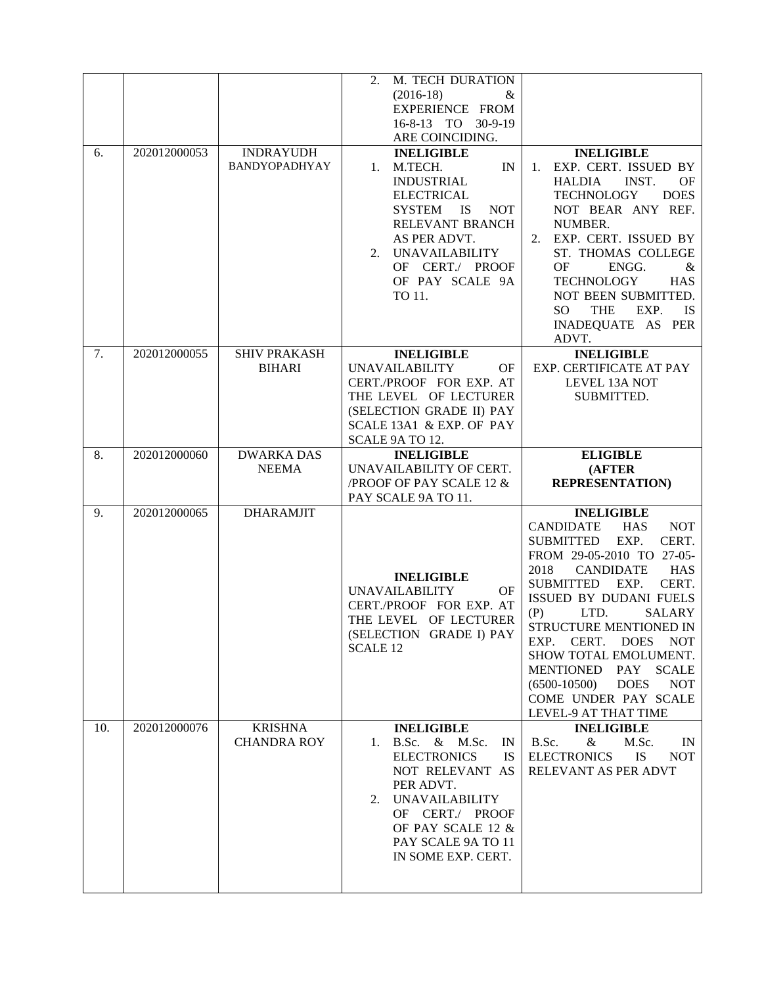| 6. | 202012000053 | <b>INDRAYUDH</b><br>BANDYOPADHYAY    | $\overline{2}$ .<br>M. TECH DURATION<br>$(2016-18)$<br>&<br>EXPERIENCE FROM<br>16-8-13 TO 30-9-19<br>ARE COINCIDING.<br><b>INELIGIBLE</b><br>M.TECH.<br>IN<br>1.<br><b>INDUSTRIAL</b><br><b>ELECTRICAL</b><br><b>SYSTEM</b><br><b>NOT</b><br><b>IS</b> | <b>INELIGIBLE</b><br>EXP. CERT. ISSUED BY<br>1.<br><b>HALDIA</b><br>INST.<br><b>OF</b><br><b>DOES</b><br><b>TECHNOLOGY</b><br>NOT BEAR ANY REF.                                                                                                                                                                                                                                                                                                                                           |
|----|--------------|--------------------------------------|--------------------------------------------------------------------------------------------------------------------------------------------------------------------------------------------------------------------------------------------------------|-------------------------------------------------------------------------------------------------------------------------------------------------------------------------------------------------------------------------------------------------------------------------------------------------------------------------------------------------------------------------------------------------------------------------------------------------------------------------------------------|
|    |              |                                      | RELEVANT BRANCH<br>AS PER ADVT.<br><b>UNAVAILABILITY</b><br>2.<br>OF CERT./ PROOF<br>OF PAY SCALE 9A<br>TO 11.                                                                                                                                         | NUMBER.<br>EXP. CERT. ISSUED BY<br>2.<br>ST. THOMAS COLLEGE<br><b>OF</b><br>ENGG.<br>&<br><b>TECHNOLOGY</b><br><b>HAS</b><br>NOT BEEN SUBMITTED.<br><b>THE</b><br>EXP.<br>SO <sub>1</sub><br><b>IS</b><br>INADEQUATE AS PER<br>ADVT.                                                                                                                                                                                                                                                      |
| 7. | 202012000055 | <b>SHIV PRAKASH</b><br><b>BIHARI</b> | <b>INELIGIBLE</b><br><b>UNAVAILABILITY</b><br><b>OF</b><br>CERT./PROOF FOR EXP. AT<br>THE LEVEL OF LECTURER<br>(SELECTION GRADE II) PAY<br>SCALE 13A1 & EXP. OF PAY<br>SCALE 9A TO 12.                                                                 | <b>INELIGIBLE</b><br>EXP. CERTIFICATE AT PAY<br>LEVEL 13A NOT<br>SUBMITTED.                                                                                                                                                                                                                                                                                                                                                                                                               |
| 8. | 202012000060 | <b>DWARKA DAS</b><br><b>NEEMA</b>    | <b>INELIGIBLE</b><br>UNAVAILABILITY OF CERT.<br>/PROOF OF PAY SCALE 12 &                                                                                                                                                                               | <b>ELIGIBLE</b><br>(AFTER<br><b>REPRESENTATION)</b>                                                                                                                                                                                                                                                                                                                                                                                                                                       |
|    |              |                                      |                                                                                                                                                                                                                                                        |                                                                                                                                                                                                                                                                                                                                                                                                                                                                                           |
| 9. | 202012000065 | <b>DHARAMJIT</b>                     | PAY SCALE 9A TO 11.<br><b>INELIGIBLE</b><br><b>UNAVAILABILITY</b><br>OF<br>CERT./PROOF FOR EXP. AT<br>THE LEVEL OF LECTURER<br>(SELECTION GRADE I) PAY<br><b>SCALE 12</b>                                                                              | <b>INELIGIBLE</b><br><b>CANDIDATE</b><br><b>HAS</b><br><b>NOT</b><br>CERT.<br><b>SUBMITTED</b><br>EXP.<br>FROM 29-05-2010 TO 27-05-<br>2018<br><b>CANDIDATE</b><br><b>HAS</b><br>CERT.<br>SUBMITTED EXP.<br><b>ISSUED BY DUDANI FUELS</b><br>(P)<br>LTD.<br>SALARY<br>STRUCTURE MENTIONED IN<br>CERT.<br><b>DOES</b><br><b>NOT</b><br>EXP.<br>SHOW TOTAL EMOLUMENT.<br>MENTIONED PAY SCALE<br>$(6500-10500)$<br><b>DOES</b><br><b>NOT</b><br>COME UNDER PAY SCALE<br>LEVEL-9 AT THAT TIME |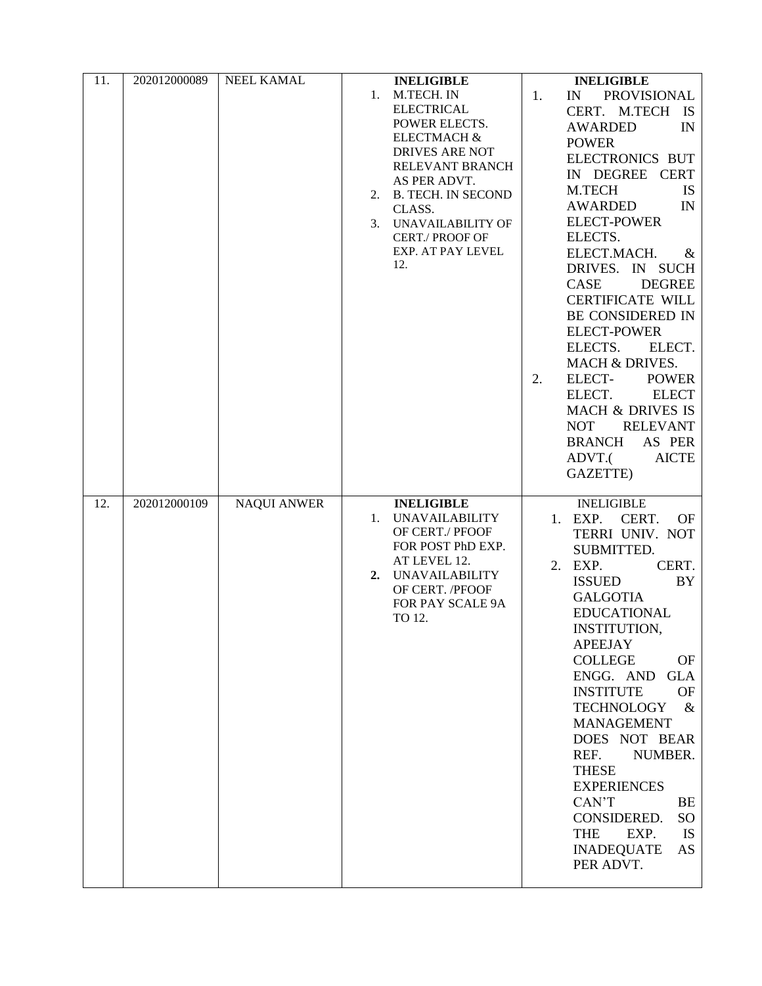| 11. | 202012000089 | <b>NEEL KAMAL</b>  |    | <b>INELIGIBLE</b>        | <b>INELIGIBLE</b>               |
|-----|--------------|--------------------|----|--------------------------|---------------------------------|
|     |              |                    | 1. | M.TECH. IN               | <b>PROVISIONAL</b><br>1.<br>IN  |
|     |              |                    |    | <b>ELECTRICAL</b>        | CERT. M.TECH IS                 |
|     |              |                    |    | POWER ELECTS.            | <b>AWARDED</b><br>IN            |
|     |              |                    |    | <b>ELECTMACH &amp;</b>   | <b>POWER</b>                    |
|     |              |                    |    | <b>DRIVES ARE NOT</b>    | ELECTRONICS BUT                 |
|     |              |                    |    | RELEVANT BRANCH          |                                 |
|     |              |                    |    | AS PER ADVT.             | IN DEGREE CERT                  |
|     |              |                    |    | 2. B. TECH. IN SECOND    | M.TECH<br><b>IS</b>             |
|     |              |                    |    | CLASS.                   | <b>AWARDED</b><br>IN            |
|     |              |                    | 3. | <b>UNAVAILABILITY OF</b> | <b>ELECT-POWER</b>              |
|     |              |                    |    | CERT./ PROOF OF          | ELECTS.                         |
|     |              |                    |    | EXP. AT PAY LEVEL        | ELECT.MACH.<br>&                |
|     |              |                    |    | 12.                      | DRIVES. IN SUCH                 |
|     |              |                    |    |                          | CASE<br><b>DEGREE</b>           |
|     |              |                    |    |                          | <b>CERTIFICATE WILL</b>         |
|     |              |                    |    |                          | BE CONSIDERED IN                |
|     |              |                    |    |                          | <b>ELECT-POWER</b>              |
|     |              |                    |    |                          | ELECTS.<br>ELECT.               |
|     |              |                    |    |                          | MACH & DRIVES.                  |
|     |              |                    |    |                          | ELECT-<br><b>POWER</b><br>2.    |
|     |              |                    |    |                          | <b>ELECT</b><br>ELECT.          |
|     |              |                    |    |                          | <b>MACH &amp; DRIVES IS</b>     |
|     |              |                    |    |                          | <b>NOT</b><br><b>RELEVANT</b>   |
|     |              |                    |    |                          |                                 |
|     |              |                    |    |                          | <b>BRANCH</b><br>AS PER         |
|     |              |                    |    |                          | ADVT.(<br><b>AICTE</b>          |
|     |              |                    |    |                          | GAZETTE)                        |
| 12. | 202012000109 | <b>NAQUI ANWER</b> |    | <b>INELIGIBLE</b>        | <b>INELIGIBLE</b>               |
|     |              |                    | 1. | <b>UNAVAILABILITY</b>    | CERT.<br>1. EXP.<br><b>OF</b>   |
|     |              |                    |    | OF CERT./ PFOOF          | TERRI UNIV. NOT                 |
|     |              |                    |    | FOR POST PhD EXP.        | SUBMITTED.                      |
|     |              |                    |    | AT LEVEL 12.             |                                 |
|     |              |                    | 2. | <b>UNAVAILABILITY</b>    | 2. EXP.<br>CERT.                |
|     |              |                    |    | OF CERT. /PFOOF          | <b>ISSUED</b><br>BY             |
|     |              |                    |    | FOR PAY SCALE 9A         | <b>GALGOTIA</b>                 |
|     |              |                    |    | TO 12.                   | <b>EDUCATIONAL</b>              |
|     |              |                    |    |                          | INSTITUTION,                    |
|     |              |                    |    |                          | <b>APEEJAY</b>                  |
|     |              |                    |    |                          | <b>COLLEGE</b><br>OF            |
|     |              |                    |    |                          | ENGG. AND GLA                   |
|     |              |                    |    |                          | <b>INSTITUTE</b><br><b>OF</b>   |
|     |              |                    |    |                          | <b>TECHNOLOGY</b><br>$\&$       |
|     |              |                    |    |                          | <b>MANAGEMENT</b>               |
|     |              |                    |    |                          | DOES NOT BEAR                   |
|     |              |                    |    |                          | NUMBER.<br>REF.                 |
|     |              |                    |    |                          | <b>THESE</b>                    |
|     |              |                    |    |                          | <b>EXPERIENCES</b>              |
|     |              |                    |    |                          | CAN'T<br><b>BE</b>              |
|     |              |                    |    |                          |                                 |
|     |              |                    |    |                          | CONSIDERED.<br>SO               |
|     |              |                    |    |                          | <b>THE</b><br>EXP.<br><b>IS</b> |
|     |              |                    |    |                          | <b>INADEQUATE</b><br>AS         |
|     |              |                    |    |                          | PER ADVT.                       |
|     |              |                    |    |                          |                                 |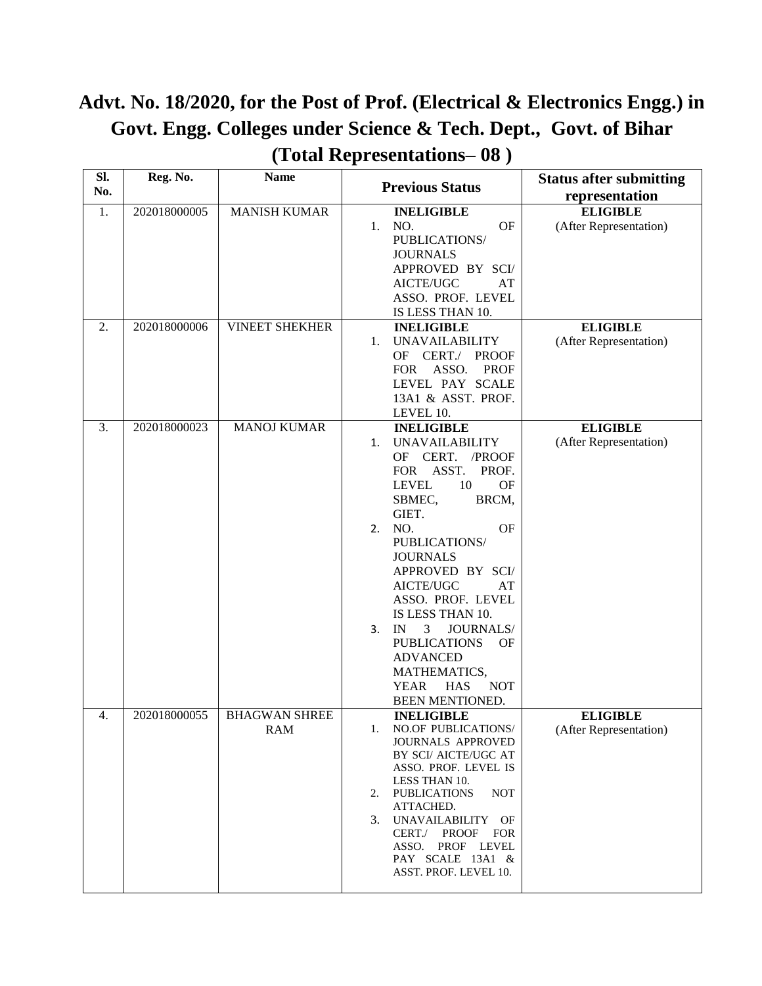## **Advt. No. 18/2020, for the Post of Prof. (Electrical & Electronics Engg.) in Govt. Engg. Colleges under Science & Tech. Dept., Govt. of Bihar (Total Representations– 08 )**

| SI. | Reg. No.     | <b>Name</b>           | <b>Previous Status</b>                                  | <b>Status after submitting</b> |
|-----|--------------|-----------------------|---------------------------------------------------------|--------------------------------|
| No. |              |                       |                                                         | representation                 |
| 1.  | 202018000005 | <b>MANISH KUMAR</b>   | <b>INELIGIBLE</b>                                       | <b>ELIGIBLE</b>                |
|     |              |                       | NO.<br>OF<br>1.                                         | (After Representation)         |
|     |              |                       | PUBLICATIONS/                                           |                                |
|     |              |                       | <b>JOURNALS</b>                                         |                                |
|     |              |                       | APPROVED BY SCI/<br>AICTE/UGC<br>AT                     |                                |
|     |              |                       | ASSO. PROF. LEVEL                                       |                                |
|     |              |                       | IS LESS THAN 10.                                        |                                |
| 2.  | 202018000006 | <b>VINEET SHEKHER</b> | <b>INELIGIBLE</b>                                       | <b>ELIGIBLE</b>                |
|     |              |                       | <b>UNAVAILABILITY</b><br>$1_{\cdot}$                    | (After Representation)         |
|     |              |                       | OF CERT./ PROOF                                         |                                |
|     |              |                       | <b>FOR</b><br>ASSO.<br><b>PROF</b>                      |                                |
|     |              |                       | LEVEL PAY SCALE                                         |                                |
|     |              |                       | 13A1 & ASST. PROF.                                      |                                |
|     |              |                       | LEVEL 10.                                               |                                |
| 3.  | 202018000023 | <b>MANOJ KUMAR</b>    | <b>INELIGIBLE</b>                                       | <b>ELIGIBLE</b>                |
|     |              |                       | <b>UNAVAILABILITY</b><br>1.                             | (After Representation)         |
|     |              |                       | CERT. /PROOF<br>OF<br>PROF.                             |                                |
|     |              |                       | FOR ASST.<br><b>LEVEL</b><br>10<br>OF                   |                                |
|     |              |                       | SBMEC,<br>BRCM,                                         |                                |
|     |              |                       | GIET.                                                   |                                |
|     |              |                       | <b>OF</b><br>NO.<br>2.                                  |                                |
|     |              |                       | PUBLICATIONS/                                           |                                |
|     |              |                       | <b>JOURNALS</b>                                         |                                |
|     |              |                       | APPROVED BY SCI/                                        |                                |
|     |              |                       | AICTE/UGC<br>AT                                         |                                |
|     |              |                       | ASSO. PROF. LEVEL                                       |                                |
|     |              |                       | IS LESS THAN 10.                                        |                                |
|     |              |                       | IN<br>3<br>JOURNALS/<br>3.                              |                                |
|     |              |                       | <b>PUBLICATIONS</b><br><b>OF</b>                        |                                |
|     |              |                       | <b>ADVANCED</b>                                         |                                |
|     |              |                       | MATHEMATICS,<br><b>YEAR</b><br><b>HAS</b><br><b>NOT</b> |                                |
|     |              |                       | BEEN MENTIONED.                                         |                                |
| 4.  | 202018000055 | <b>BHAGWAN SHREE</b>  | <b>INELIGIBLE</b>                                       | <b>ELIGIBLE</b>                |
|     |              | RAM                   | 1. NO.OF PUBLICATIONS/                                  | (After Representation)         |
|     |              |                       | JOURNALS APPROVED                                       |                                |
|     |              |                       | BY SCI/ AICTE/UGC AT                                    |                                |
|     |              |                       | ASSO. PROF. LEVEL IS<br>LESS THAN 10.                   |                                |
|     |              |                       | <b>PUBLICATIONS</b><br><b>NOT</b><br>2.                 |                                |
|     |              |                       | ATTACHED.                                               |                                |
|     |              |                       | 3. UNAVAILABILITY OF                                    |                                |
|     |              |                       | CERT./ PROOF FOR                                        |                                |
|     |              |                       | ASSO. PROF LEVEL<br>PAY SCALE 13A1 &                    |                                |
|     |              |                       | ASST. PROF. LEVEL 10.                                   |                                |
|     |              |                       |                                                         |                                |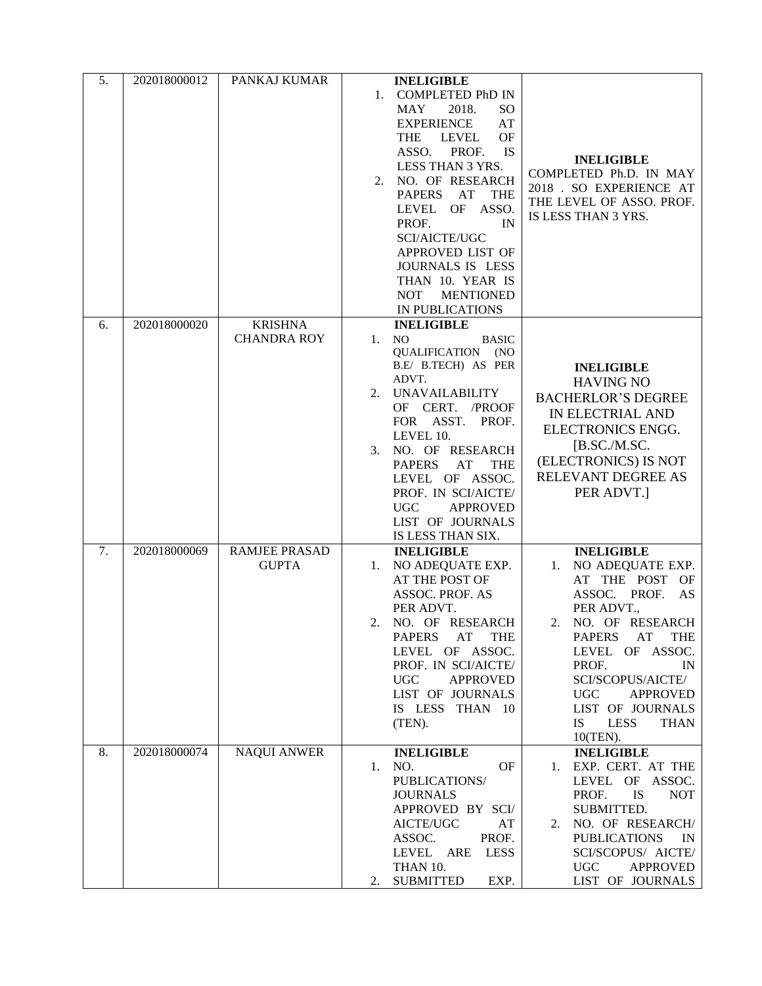| 5. | 202018000012 | PANKAJ KUMAR                         | <b>INELIGIBLE</b><br><b>COMPLETED PhD IN</b><br>1.<br>MAY<br>2018.<br>SO.<br><b>EXPERIENCE</b><br>AT<br><b>LEVEL</b><br>OF<br><b>THE</b><br>ASSO.<br>PROF.<br><b>IS</b><br>LESS THAN 3 YRS.<br>NO. OF RESEARCH<br>2.<br><b>PAPERS</b><br>AT<br><b>THE</b><br>LEVEL OF ASSO.<br>PROF.<br>IN<br><b>SCI/AICTE/UGC</b><br>APPROVED LIST OF<br>JOURNALS IS LESS<br>THAN 10. YEAR IS<br><b>NOT</b><br><b>MENTIONED</b><br>IN PUBLICATIONS | <b>INELIGIBLE</b><br>COMPLETED Ph.D. IN MAY<br>2018 . SO EXPERIENCE AT<br>THE LEVEL OF ASSO. PROF.<br>IS LESS THAN 3 YRS.                                                                                                                                                                                                                |
|----|--------------|--------------------------------------|-------------------------------------------------------------------------------------------------------------------------------------------------------------------------------------------------------------------------------------------------------------------------------------------------------------------------------------------------------------------------------------------------------------------------------------|------------------------------------------------------------------------------------------------------------------------------------------------------------------------------------------------------------------------------------------------------------------------------------------------------------------------------------------|
| 6. | 202018000020 | <b>KRISHNA</b><br><b>CHANDRA ROY</b> | <b>INELIGIBLE</b><br><b>NO</b><br>1.<br><b>BASIC</b><br>QUALIFICATION<br>(NO)<br>B.E/ B.TECH) AS PER<br>ADVT.<br><b>UNAVAILABILITY</b><br>2.<br>OF CERT. /PROOF<br>FOR ASST. PROF.<br>LEVEL 10.<br>NO. OF RESEARCH<br>3.<br><b>PAPERS</b><br>AT<br><b>THE</b><br>LEVEL OF ASSOC.<br>PROF. IN SCI/AICTE/<br><b>APPROVED</b><br>UGC<br>LIST OF JOURNALS<br>IS LESS THAN SIX.                                                          | <b>INELIGIBLE</b><br><b>HAVING NO</b><br><b>BACHERLOR'S DEGREE</b><br>IN ELECTRIAL AND<br>ELECTRONICS ENGG.<br>$[$ B.SC./M.SC.<br>(ELECTRONICS) IS NOT<br>RELEVANT DEGREE AS<br>PER ADVT.]                                                                                                                                               |
| 7. | 202018000069 | <b>RAMJEE PRASAD</b><br><b>GUPTA</b> | <b>INELIGIBLE</b><br>NO ADEQUATE EXP.<br>1.<br>AT THE POST OF<br><b>ASSOC. PROF. AS</b><br>PER ADVT.<br>NO. OF RESEARCH<br>2.<br>AT<br><b>THE</b><br><b>PAPERS</b><br>LEVEL OF ASSOC.<br>PROF. IN SCI/AICTE/<br><b>APPROVED</b><br><b>UGC</b><br>LIST OF JOURNALS<br>IS LESS THAN 10<br>(TEN).                                                                                                                                      | <b>INELIGIBLE</b><br>NO ADEQUATE EXP.<br>1.<br>AT THE POST OF<br>ASSOC. PROF.<br>AS<br>PER ADVT.,<br>NO. OF RESEARCH<br>2.<br>AT<br><b>THE</b><br><b>PAPERS</b><br>OF<br>ASSOC.<br>LEVEL<br>PROF.<br>IN<br>SCI/SCOPUS/AICTE/<br><b>UGC</b><br><b>APPROVED</b><br>LIST OF JOURNALS<br><b>IS</b><br><b>LESS</b><br><b>THAN</b><br>10(TEN). |
| 8. | 202018000074 | <b>NAQUI ANWER</b>                   | <b>INELIGIBLE</b><br>NO.<br>OF<br>1.<br>PUBLICATIONS/<br><b>JOURNALS</b><br>APPROVED BY SCI/<br>AICTE/UGC<br>AT<br>ASSOC.<br>PROF.<br>LEVEL ARE<br><b>LESS</b><br>THAN 10.<br><b>SUBMITTED</b><br>EXP.<br>2.                                                                                                                                                                                                                        | <b>INELIGIBLE</b><br>EXP. CERT. AT THE<br>1.<br>LEVEL OF<br>ASSOC.<br><b>IS</b><br>PROF.<br><b>NOT</b><br>SUBMITTED.<br>NO. OF RESEARCH/<br>2.<br><b>PUBLICATIONS</b><br>IN<br>SCI/SCOPUS/ AICTE/<br><b>APPROVED</b><br><b>UGC</b><br>LIST OF JOURNALS                                                                                   |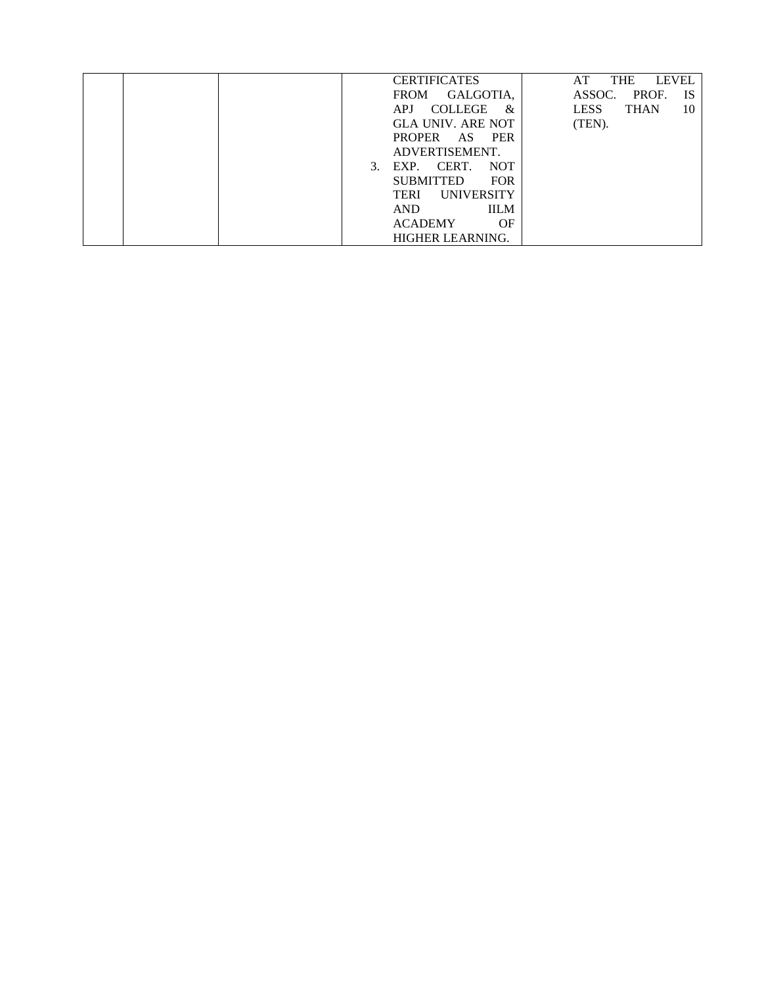| <b>CERTIFICATES</b>                    | <b>LEVEL</b><br><b>THE</b><br>AT |
|----------------------------------------|----------------------------------|
| GALGOTIA.<br><b>FROM</b>               | ASSOC.<br>PROF.<br><b>IS</b>     |
| <b>COLLEGE</b><br><b>APJ</b><br>&      | <b>LESS</b><br><b>THAN</b><br>10 |
| <b>GLA UNIV. ARE NOT</b>               | (TEN).                           |
| <b>PROPER</b><br><b>PER</b><br>AS.     |                                  |
| ADVERTISEMENT.                         |                                  |
| CERT.<br><b>NOT</b><br>EXP.<br>$3_{-}$ |                                  |
| <b>FOR</b><br><b>SUBMITTED</b>         |                                  |
| <b>UNIVERSITY</b><br>TERI              |                                  |
| <b>IILM</b><br><b>AND</b>              |                                  |
| <b>ACADEMY</b><br>OF                   |                                  |
| HIGHER LEARNING.                       |                                  |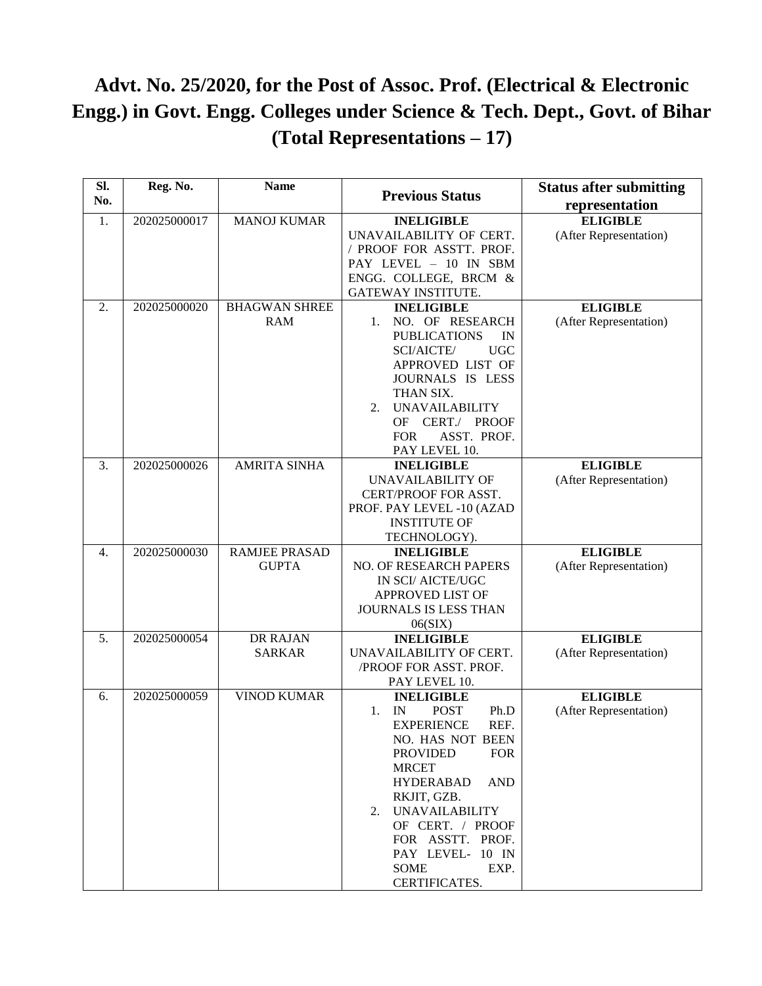## **Advt. No. 25/2020, for the Post of Assoc. Prof. (Electrical & Electronic Engg.) in Govt. Engg. Colleges under Science & Tech. Dept., Govt. of Bihar (Total Representations – 17)**

| SI.<br>No.       | Reg. No.     | <b>Name</b>          | <b>Previous Status</b>                      | <b>Status after submitting</b><br>representation |
|------------------|--------------|----------------------|---------------------------------------------|--------------------------------------------------|
| 1.               | 202025000017 | <b>MANOJ KUMAR</b>   | <b>INELIGIBLE</b>                           | <b>ELIGIBLE</b>                                  |
|                  |              |                      | UNAVAILABILITY OF CERT.                     | (After Representation)                           |
|                  |              |                      | / PROOF FOR ASSTT. PROF.                    |                                                  |
|                  |              |                      | PAY LEVEL - 10 IN SBM                       |                                                  |
|                  |              |                      |                                             |                                                  |
|                  |              |                      | ENGG. COLLEGE, BRCM &<br>GATEWAY INSTITUTE. |                                                  |
|                  |              |                      |                                             |                                                  |
| 2.               | 202025000020 | <b>BHAGWAN SHREE</b> | <b>INELIGIBLE</b>                           | <b>ELIGIBLE</b>                                  |
|                  |              | <b>RAM</b>           | NO. OF RESEARCH<br>1.                       | (After Representation)                           |
|                  |              |                      | <b>PUBLICATIONS</b><br>IN                   |                                                  |
|                  |              |                      | SCI/AICTE/<br><b>UGC</b>                    |                                                  |
|                  |              |                      | APPROVED LIST OF                            |                                                  |
|                  |              |                      | JOURNALS IS LESS                            |                                                  |
|                  |              |                      | THAN SIX.                                   |                                                  |
|                  |              |                      | <b>UNAVAILABILITY</b><br>2.                 |                                                  |
|                  |              |                      | OF CERT./ PROOF                             |                                                  |
|                  |              |                      | ASST. PROF.<br><b>FOR</b>                   |                                                  |
|                  |              |                      | PAY LEVEL 10.                               |                                                  |
| 3.               | 202025000026 | <b>AMRITA SINHA</b>  | <b>INELIGIBLE</b>                           | <b>ELIGIBLE</b>                                  |
|                  |              |                      | <b>UNAVAILABILITY OF</b>                    | (After Representation)                           |
|                  |              |                      | CERT/PROOF FOR ASST.                        |                                                  |
|                  |              |                      | PROF. PAY LEVEL -10 (AZAD                   |                                                  |
|                  |              |                      | <b>INSTITUTE OF</b>                         |                                                  |
|                  |              |                      | TECHNOLOGY).                                |                                                  |
| $\overline{4}$ . | 202025000030 | <b>RAMJEE PRASAD</b> | <b>INELIGIBLE</b>                           | <b>ELIGIBLE</b>                                  |
|                  |              | <b>GUPTA</b>         | <b>NO. OF RESEARCH PAPERS</b>               | (After Representation)                           |
|                  |              |                      | IN SCI/ AICTE/UGC                           |                                                  |
|                  |              |                      | APPROVED LIST OF                            |                                                  |
|                  |              |                      | JOURNALS IS LESS THAN                       |                                                  |
|                  |              |                      | 06(SIX)                                     |                                                  |
| 5.               | 202025000054 | <b>DR RAJAN</b>      | <b>INELIGIBLE</b>                           | <b>ELIGIBLE</b>                                  |
|                  |              | <b>SARKAR</b>        | UNAVAILABILITY OF CERT.                     | (After Representation)                           |
|                  |              |                      | /PROOF FOR ASST. PROF.                      |                                                  |
|                  |              |                      | PAY LEVEL 10.                               |                                                  |
| 6.               | 202025000059 | <b>VINOD KUMAR</b>   | <b>INELIGIBLE</b>                           | <b>ELIGIBLE</b>                                  |
|                  |              |                      | <b>POST</b><br>IN<br>Ph.D<br>1.             | (After Representation)                           |
|                  |              |                      | REF.<br><b>EXPERIENCE</b>                   |                                                  |
|                  |              |                      | NO. HAS NOT BEEN                            |                                                  |
|                  |              |                      | <b>PROVIDED</b><br><b>FOR</b>               |                                                  |
|                  |              |                      | <b>MRCET</b>                                |                                                  |
|                  |              |                      | <b>HYDERABAD</b><br><b>AND</b>              |                                                  |
|                  |              |                      | RKJIT, GZB.                                 |                                                  |
|                  |              |                      | 2. UNAVAILABILITY                           |                                                  |
|                  |              |                      | OF CERT. / PROOF                            |                                                  |
|                  |              |                      | FOR ASSTT. PROF.                            |                                                  |
|                  |              |                      | PAY LEVEL- 10 IN                            |                                                  |
|                  |              |                      | <b>SOME</b><br>EXP.                         |                                                  |
|                  |              |                      | CERTIFICATES.                               |                                                  |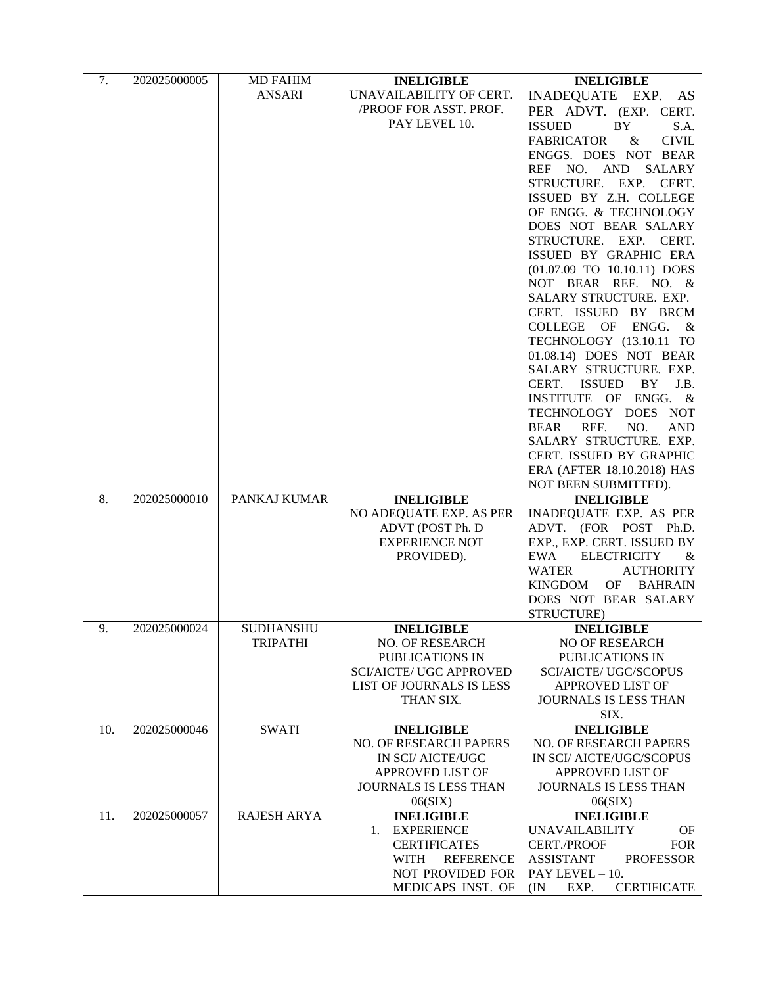| 7.  | 202025000005 | <b>MD FAHIM</b>    | <b>INELIGIBLE</b>               | <b>INELIGIBLE</b>                              |
|-----|--------------|--------------------|---------------------------------|------------------------------------------------|
|     |              | ANSARI             | UNAVAILABILITY OF CERT.         | INADEQUATE EXP.<br>AS                          |
|     |              |                    | /PROOF FOR ASST. PROF.          | PER ADVT. (EXP. CERT.                          |
|     |              |                    | PAY LEVEL 10.                   | <b>ISSUED</b><br>BY.<br>S.A.                   |
|     |              |                    |                                 | <b>FABRICATOR</b><br><b>CIVIL</b><br>$\&$      |
|     |              |                    |                                 | ENGGS. DOES NOT BEAR                           |
|     |              |                    |                                 | REF NO. AND SALARY                             |
|     |              |                    |                                 | STRUCTURE. EXP. CERT.                          |
|     |              |                    |                                 | ISSUED BY Z.H. COLLEGE                         |
|     |              |                    |                                 | OF ENGG. & TECHNOLOGY                          |
|     |              |                    |                                 | DOES NOT BEAR SALARY                           |
|     |              |                    |                                 | STRUCTURE. EXP. CERT.                          |
|     |              |                    |                                 | ISSUED BY GRAPHIC ERA                          |
|     |              |                    |                                 | (01.07.09 TO 10.10.11) DOES                    |
|     |              |                    |                                 | NOT BEAR REF. NO. &                            |
|     |              |                    |                                 | SALARY STRUCTURE. EXP.                         |
|     |              |                    |                                 | CERT. ISSUED BY BRCM                           |
|     |              |                    |                                 | <b>COLLEGE</b><br>ENGG.<br>OF<br>&             |
|     |              |                    |                                 | TECHNOLOGY (13.10.11 TO                        |
|     |              |                    |                                 | 01.08.14) DOES NOT BEAR                        |
|     |              |                    |                                 | SALARY STRUCTURE. EXP.<br>CERT. ISSUED BY J.B. |
|     |              |                    |                                 |                                                |
|     |              |                    |                                 | INSTITUTE OF ENGG. &<br>TECHNOLOGY DOES NOT    |
|     |              |                    |                                 | REF.<br>NO.<br><b>AND</b><br><b>BEAR</b>       |
|     |              |                    |                                 | SALARY STRUCTURE. EXP.                         |
|     |              |                    |                                 | CERT. ISSUED BY GRAPHIC                        |
|     |              |                    |                                 | ERA (AFTER 18.10.2018) HAS                     |
|     |              |                    |                                 | NOT BEEN SUBMITTED).                           |
| 8.  | 202025000010 | PANKAJ KUMAR       | <b>INELIGIBLE</b>               | <b>INELIGIBLE</b>                              |
|     |              |                    | NO ADEQUATE EXP. AS PER         | INADEQUATE EXP. AS PER                         |
|     |              |                    | ADVT (POST Ph. D                | ADVT. (FOR POST Ph.D.                          |
|     |              |                    | <b>EXPERIENCE NOT</b>           | EXP., EXP. CERT. ISSUED BY                     |
|     |              |                    | PROVIDED).                      | <b>ELECTRICITY</b><br>EWA<br>&                 |
|     |              |                    |                                 | <b>AUTHORITY</b><br><b>WATER</b>               |
|     |              |                    |                                 | OF BAHRAIN<br><b>KINGDOM</b>                   |
|     |              |                    |                                 | DOES NOT BEAR SALARY                           |
|     |              |                    |                                 | STRUCTURE)                                     |
| 9.  | 202025000024 | <b>SUDHANSHU</b>   | <b>INELIGIBLE</b>               | <b>INELIGIBLE</b>                              |
|     |              | <b>TRIPATHI</b>    | NO. OF RESEARCH                 | <b>NO OF RESEARCH</b>                          |
|     |              |                    | PUBLICATIONS IN                 | PUBLICATIONS IN                                |
|     |              |                    | <b>SCI/AICTE/ UGC APPROVED</b>  | <b>SCI/AICTE/ UGC/SCOPUS</b>                   |
|     |              |                    | LIST OF JOURNALS IS LESS        | APPROVED LIST OF                               |
|     |              |                    | THAN SIX.                       | <b>JOURNALS IS LESS THAN</b>                   |
| 10. | 202025000046 | <b>SWATI</b>       | <b>INELIGIBLE</b>               | SIX.<br><b>INELIGIBLE</b>                      |
|     |              |                    | NO. OF RESEARCH PAPERS          | NO. OF RESEARCH PAPERS                         |
|     |              |                    | IN SCI/ AICTE/UGC               | IN SCI/ AICTE/UGC/SCOPUS                       |
|     |              |                    | APPROVED LIST OF                | APPROVED LIST OF                               |
|     |              |                    | JOURNALS IS LESS THAN           | JOURNALS IS LESS THAN                          |
|     |              |                    | 06(SIX)                         | 06(SIX)                                        |
| 11. | 202025000057 | <b>RAJESH ARYA</b> | <b>INELIGIBLE</b>               | <b>INELIGIBLE</b>                              |
|     |              |                    | 1. EXPERIENCE                   | <b>UNAVAILABILITY</b><br>OF                    |
|     |              |                    | <b>CERTIFICATES</b>             | <b>CERT./PROOF</b><br><b>FOR</b>               |
|     |              |                    | <b>WITH</b><br><b>REFERENCE</b> | <b>ASSISTANT</b><br><b>PROFESSOR</b>           |
|     |              |                    | NOT PROVIDED FOR                | PAY LEVEL - 10.                                |
|     |              |                    | MEDICAPS INST. OF               | <b>CERTIFICATE</b><br>(IN)<br>EXP.             |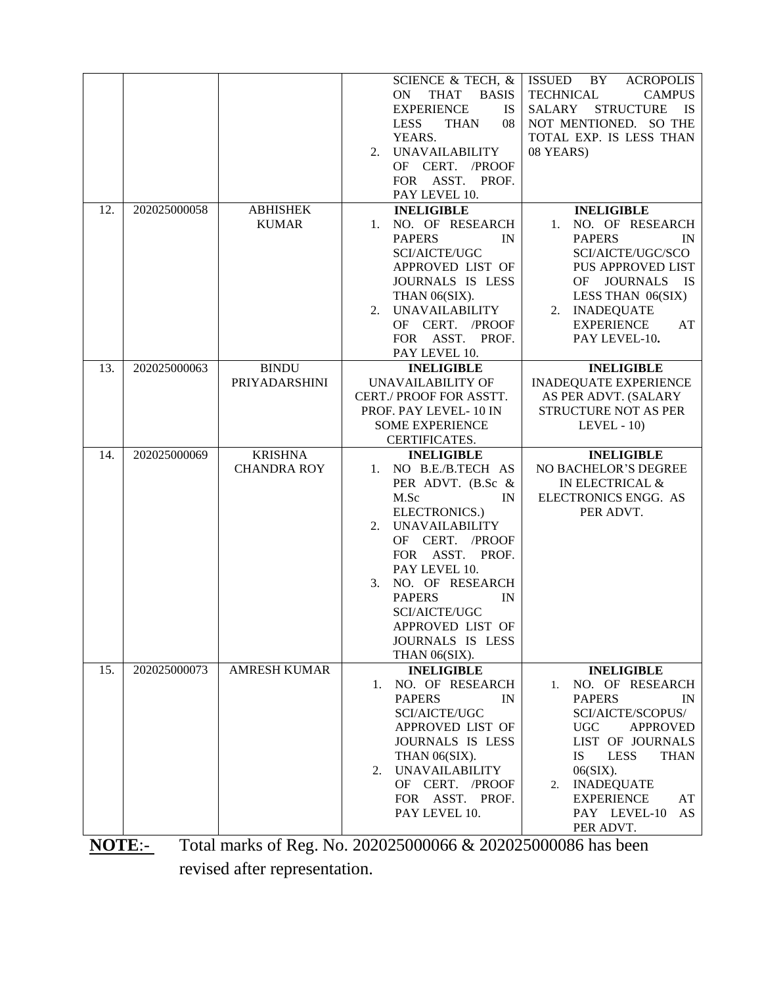| 12.                  | 202025000058 | <b>ABHISHEK</b><br><b>KUMAR</b>      | SCIENCE & TECH, &<br><b>ON</b><br><b>THAT</b><br><b>BASIS</b><br><b>EXPERIENCE</b><br><b>IS</b><br><b>LESS</b><br><b>THAN</b><br>08<br>YEARS.<br><b>UNAVAILABILITY</b><br>2.<br>OF CERT. /PROOF<br>FOR ASST. PROF.<br>PAY LEVEL 10.<br><b>INELIGIBLE</b><br>1. NO. OF RESEARCH                                | <b>ISSUED</b><br><b>BY</b><br><b>ACROPOLIS</b><br><b>TECHNICAL</b><br><b>CAMPUS</b><br><b>STRUCTURE</b><br>SALARY<br><b>IS</b><br>NOT MENTIONED. SO THE<br>TOTAL EXP. IS LESS THAN<br>08 YEARS)<br><b>INELIGIBLE</b><br>NO. OF RESEARCH<br>1.                                 |
|----------------------|--------------|--------------------------------------|---------------------------------------------------------------------------------------------------------------------------------------------------------------------------------------------------------------------------------------------------------------------------------------------------------------|-------------------------------------------------------------------------------------------------------------------------------------------------------------------------------------------------------------------------------------------------------------------------------|
|                      |              |                                      | <b>PAPERS</b><br>IN<br>SCI/AICTE/UGC<br>APPROVED LIST OF<br>JOURNALS IS LESS<br>THAN 06(SIX).<br><b>UNAVAILABILITY</b><br>2.<br>OF CERT.<br>/PROOF<br>FOR ASST.<br>PROF.<br>PAY LEVEL 10.                                                                                                                     | <b>PAPERS</b><br>IN<br>SCI/AICTE/UGC/SCO<br><b>PUS APPROVED LIST</b><br><b>JOURNALS</b><br>OF.<br><b>IS</b><br>LESS THAN 06(SIX)<br>2. INADEQUATE<br><b>EXPERIENCE</b><br>AT<br>PAY LEVEL-10.                                                                                 |
| 13.                  | 202025000063 | <b>BINDU</b><br>PRIYADARSHINI        | <b>INELIGIBLE</b><br>UNAVAILABILITY OF<br>CERT./ PROOF FOR ASSTT.<br>PROF. PAY LEVEL-10 IN<br><b>SOME EXPERIENCE</b><br>CERTIFICATES.                                                                                                                                                                         | <b>INELIGIBLE</b><br><b>INADEQUATE EXPERIENCE</b><br>AS PER ADVT. (SALARY<br>STRUCTURE NOT AS PER<br>LEVEL $-10$ )                                                                                                                                                            |
| 14.                  | 202025000069 | <b>KRISHNA</b><br><b>CHANDRA ROY</b> | <b>INELIGIBLE</b><br>1. NO B.E./B.TECH AS<br>PER ADVT. (B.Sc &<br>M.Sc<br>IN<br>ELECTRONICS.)<br><b>UNAVAILABILITY</b><br>2.<br>OF CERT. /PROOF<br>FOR ASST. PROF.<br>PAY LEVEL 10.<br>NO. OF RESEARCH<br>3.<br><b>PAPERS</b><br>IN<br>SCI/AICTE/UGC<br>APPROVED LIST OF<br>JOURNALS IS LESS<br>THAN 06(SIX). | <b>INELIGIBLE</b><br>NO BACHELOR'S DEGREE<br>IN ELECTRICAL &<br>ELECTRONICS ENGG. AS<br>PER ADVT.                                                                                                                                                                             |
| 15.                  | 202025000073 | AMRESH KUMAR                         | <b>INELIGIBLE</b><br>NO. OF RESEARCH<br>1.<br><b>PAPERS</b><br>$_{\rm IN}$<br>SCI/AICTE/UGC<br>APPROVED LIST OF<br>JOURNALS IS LESS<br>THAN 06(SIX).<br><b>UNAVAILABILITY</b><br>2.<br>OF CERT. /PROOF<br>FOR ASST. PROF.<br>PAY LEVEL 10.                                                                    | <b>INELIGIBLE</b><br>NO. OF RESEARCH<br>1.<br><b>PAPERS</b><br>IN<br>SCI/AICTE/SCOPUS/<br>UGC<br><b>APPROVED</b><br>LIST OF JOURNALS<br><b>IS</b><br><b>LESS</b><br><b>THAN</b><br>$06(SIX)$ .<br>2. INADEQUATE<br><b>EXPERIENCE</b><br>AT<br>PAY LEVEL-10<br>AS<br>PER ADVT. |
| $N\Lambda T\Gamma$ . |              |                                      | $Total$ marks of $Box$ No. 202025000066 & 202025000086 has been                                                                                                                                                                                                                                               |                                                                                                                                                                                                                                                                               |

**NOTE**:- Total marks of Reg. No. 202025000066 & 202025000086 has been revised after representation.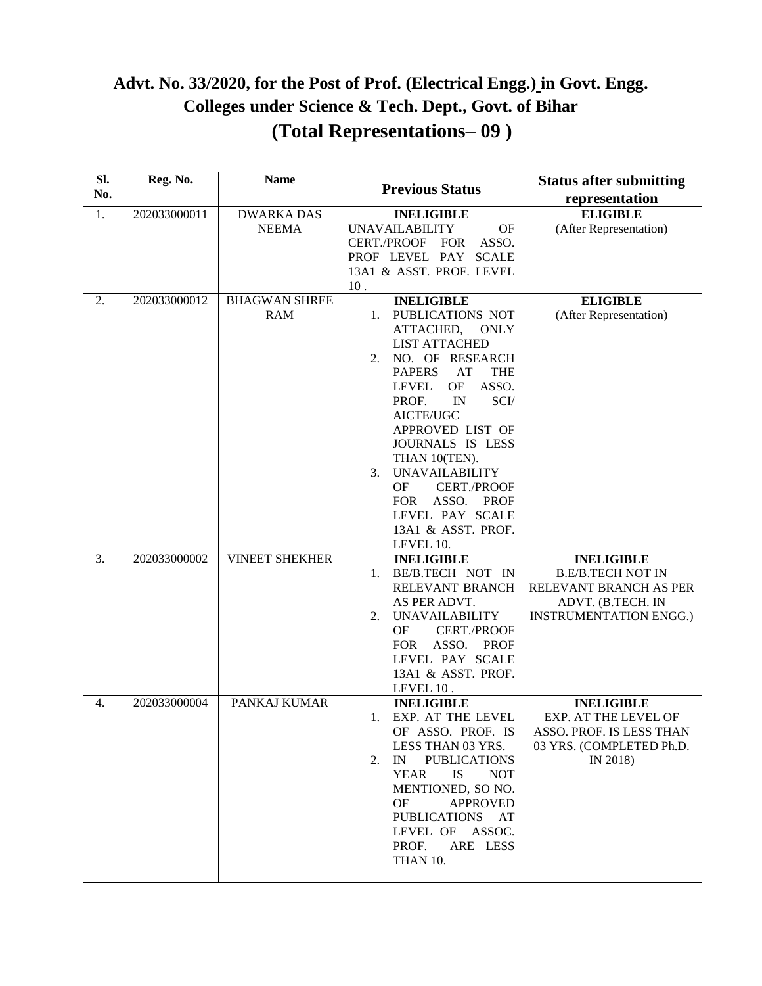### **Advt. No. 33/2020, for the Post of Prof. (Electrical Engg.) in Govt. Engg. Colleges under Science & Tech. Dept., Govt. of Bihar (Total Representations– 09 )**

| SI.<br>No. | Reg. No.     | <b>Name</b>           | <b>Previous Status</b>                    | <b>Status after submitting</b><br>representation   |
|------------|--------------|-----------------------|-------------------------------------------|----------------------------------------------------|
|            |              |                       |                                           |                                                    |
| 1.         | 202033000011 | <b>DWARKA DAS</b>     | <b>INELIGIBLE</b>                         | <b>ELIGIBLE</b>                                    |
|            |              | <b>NEEMA</b>          | OF<br><b>UNAVAILABILITY</b>               | (After Representation)                             |
|            |              |                       | ASSO.<br>CERT./PROOF<br><b>FOR</b>        |                                                    |
|            |              |                       | <b>SCALE</b><br>PROF LEVEL PAY            |                                                    |
|            |              |                       | 13A1 & ASST. PROF. LEVEL                  |                                                    |
|            |              |                       | 10.                                       |                                                    |
| 2.         | 202033000012 | <b>BHAGWAN SHREE</b>  | <b>INELIGIBLE</b>                         | <b>ELIGIBLE</b>                                    |
|            |              | <b>RAM</b>            | PUBLICATIONS NOT<br>1.                    | (After Representation)                             |
|            |              |                       | ATTACHED,<br><b>ONLY</b>                  |                                                    |
|            |              |                       | <b>LIST ATTACHED</b>                      |                                                    |
|            |              |                       | NO. OF RESEARCH<br>2.                     |                                                    |
|            |              |                       | <b>PAPERS</b><br>AT<br><b>THE</b>         |                                                    |
|            |              |                       | $\mathrm{OF}$<br>ASSO.<br>LEVEL           |                                                    |
|            |              |                       | IN<br>SCI/<br>PROF.                       |                                                    |
|            |              |                       | AICTE/UGC                                 |                                                    |
|            |              |                       | APPROVED LIST OF                          |                                                    |
|            |              |                       | JOURNALS IS LESS                          |                                                    |
|            |              |                       | THAN 10(TEN).                             |                                                    |
|            |              |                       | <b>UNAVAILABILITY</b><br>3.               |                                                    |
|            |              |                       | <b>CERT./PROOF</b><br><b>OF</b>           |                                                    |
|            |              |                       | ASSO.<br><b>FOR</b><br><b>PROF</b>        |                                                    |
|            |              |                       | LEVEL PAY SCALE                           |                                                    |
|            |              |                       | 13A1 & ASST. PROF.                        |                                                    |
|            |              |                       | LEVEL 10.                                 |                                                    |
| 3.         | 202033000002 | <b>VINEET SHEKHER</b> | <b>INELIGIBLE</b>                         | <b>INELIGIBLE</b>                                  |
|            |              |                       | BE/B.TECH NOT IN<br>1.<br>RELEVANT BRANCH | <b>B.E/B.TECH NOT IN</b><br>RELEVANT BRANCH AS PER |
|            |              |                       | AS PER ADVT.                              | ADVT. (B.TECH. IN                                  |
|            |              |                       | 2.<br><b>UNAVAILABILITY</b>               | <b>INSTRUMENTATION ENGG.)</b>                      |
|            |              |                       | <b>CERT./PROOF</b><br><b>OF</b>           |                                                    |
|            |              |                       | ASSO.<br>PROF<br><b>FOR</b>               |                                                    |
|            |              |                       | LEVEL PAY SCALE                           |                                                    |
|            |              |                       | 13A1 & ASST. PROF.                        |                                                    |
|            |              |                       | LEVEL 10.                                 |                                                    |
| 4.         | 202033000004 | PANKAJ KUMAR          | <b>INELIGIBLE</b>                         | <b>INELIGIBLE</b>                                  |
|            |              |                       | EXP. AT THE LEVEL<br>1.                   | EXP. AT THE LEVEL OF                               |
|            |              |                       | OF ASSO. PROF. IS                         | ASSO. PROF. IS LESS THAN                           |
|            |              |                       | LESS THAN 03 YRS.                         | 03 YRS. (COMPLETED Ph.D.                           |
|            |              |                       | IN<br><b>PUBLICATIONS</b><br>2.           | IN 2018)                                           |
|            |              |                       | <b>YEAR</b><br><b>IS</b><br><b>NOT</b>    |                                                    |
|            |              |                       | MENTIONED, SO NO.                         |                                                    |
|            |              |                       | <b>OF</b><br><b>APPROVED</b>              |                                                    |
|            |              |                       | <b>PUBLICATIONS</b><br>AT                 |                                                    |
|            |              |                       | LEVEL OF<br>ASSOC.                        |                                                    |
|            |              |                       | PROF.<br>ARE LESS                         |                                                    |
|            |              |                       | THAN 10.                                  |                                                    |
|            |              |                       |                                           |                                                    |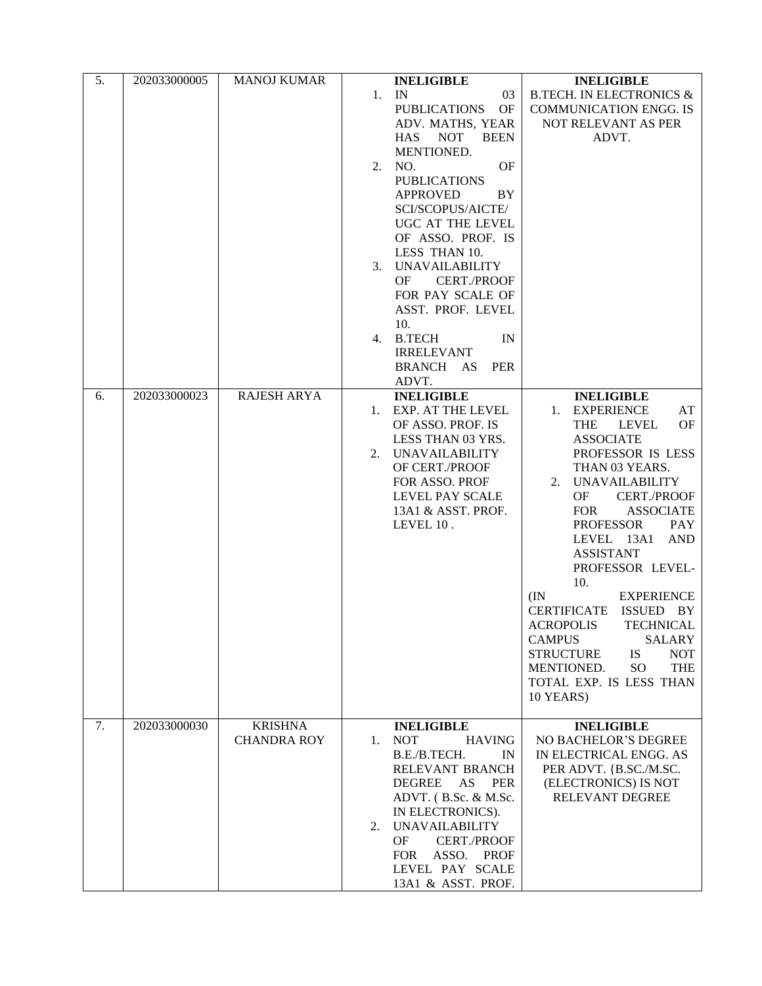| 5. | 202033000005 | <b>MANOJ KUMAR</b>                   | <b>INELIGIBLE</b><br>1. IN<br>03<br><b>PUBLICATIONS</b><br>OF<br>ADV. MATHS, YEAR<br><b>HAS</b><br><b>NOT</b><br><b>BEEN</b><br>MENTIONED.<br>OF<br>NO.<br>2.<br><b>PUBLICATIONS</b><br><b>APPROVED</b><br>BY<br>SCI/SCOPUS/AICTE/<br>UGC AT THE LEVEL<br>OF ASSO. PROF. IS<br>LESS THAN 10.<br><b>UNAVAILABILITY</b><br>3.<br><b>CERT./PROOF</b><br>OF.<br>FOR PAY SCALE OF<br>ASST. PROF. LEVEL<br>10.<br><b>B.TECH</b><br>IN<br>4.<br><b>IRRELEVANT</b><br><b>BRANCH</b><br>AS<br><b>PER</b><br>ADVT. | <b>INELIGIBLE</b><br><b>B.TECH. IN ELECTRONICS &amp;</b><br><b>COMMUNICATION ENGG. IS</b><br>NOT RELEVANT AS PER<br>ADVT.                                                                                                                                                                                                                                                                                                                                                                                                                                                                                        |
|----|--------------|--------------------------------------|----------------------------------------------------------------------------------------------------------------------------------------------------------------------------------------------------------------------------------------------------------------------------------------------------------------------------------------------------------------------------------------------------------------------------------------------------------------------------------------------------------|------------------------------------------------------------------------------------------------------------------------------------------------------------------------------------------------------------------------------------------------------------------------------------------------------------------------------------------------------------------------------------------------------------------------------------------------------------------------------------------------------------------------------------------------------------------------------------------------------------------|
| 6. | 202033000023 | <b>RAJESH ARYA</b>                   | <b>INELIGIBLE</b><br>EXP. AT THE LEVEL<br>1.<br>OF ASSO. PROF. IS<br>LESS THAN 03 YRS.<br><b>UNAVAILABILITY</b><br>2.<br>OF CERT./PROOF<br>FOR ASSO. PROF<br>LEVEL PAY SCALE<br>13A1 & ASST. PROF.<br>LEVEL 10.                                                                                                                                                                                                                                                                                          | <b>INELIGIBLE</b><br>1. EXPERIENCE<br>AT<br><b>THE</b><br>OF<br><b>LEVEL</b><br><b>ASSOCIATE</b><br>PROFESSOR IS LESS<br>THAN 03 YEARS.<br>2. UNAVAILABILITY<br>OF<br><b>CERT./PROOF</b><br><b>FOR</b><br><b>ASSOCIATE</b><br><b>PROFESSOR</b><br><b>PAY</b><br>LEVEL 13A1<br><b>AND</b><br><b>ASSISTANT</b><br>PROFESSOR LEVEL-<br>10.<br><b>EXPERIENCE</b><br>(IN)<br><b>CERTIFICATE</b><br>ISSUED BY<br><b>ACROPOLIS</b><br>TECHNICAL<br><b>CAMPUS</b><br><b>SALARY</b><br><b>STRUCTURE</b><br><b>IS</b><br><b>NOT</b><br>SO <sub>1</sub><br><b>THE</b><br>MENTIONED.<br>TOTAL EXP. IS LESS THAN<br>10 YEARS) |
| 7. | 202033000030 | <b>KRISHNA</b><br><b>CHANDRA ROY</b> | <b>INELIGIBLE</b><br><b>NOT</b><br>$1_{\cdot}$<br><b>HAVING</b><br>B.E./B.TECH.<br>IN<br>RELEVANT BRANCH<br><b>DEGREE</b><br>AS<br><b>PER</b><br>ADVT. (B.Sc. & M.Sc.<br>IN ELECTRONICS).<br><b>UNAVAILABILITY</b><br>2.<br><b>CERT./PROOF</b><br><b>OF</b><br>ASSO.<br><b>FOR</b><br><b>PROF</b><br>LEVEL PAY SCALE<br>13A1 & ASST. PROF.                                                                                                                                                               | <b>INELIGIBLE</b><br>NO BACHELOR'S DEGREE<br>IN ELECTRICAL ENGG. AS<br>PER ADVT. {B.SC./M.SC.<br>(ELECTRONICS) IS NOT<br>RELEVANT DEGREE                                                                                                                                                                                                                                                                                                                                                                                                                                                                         |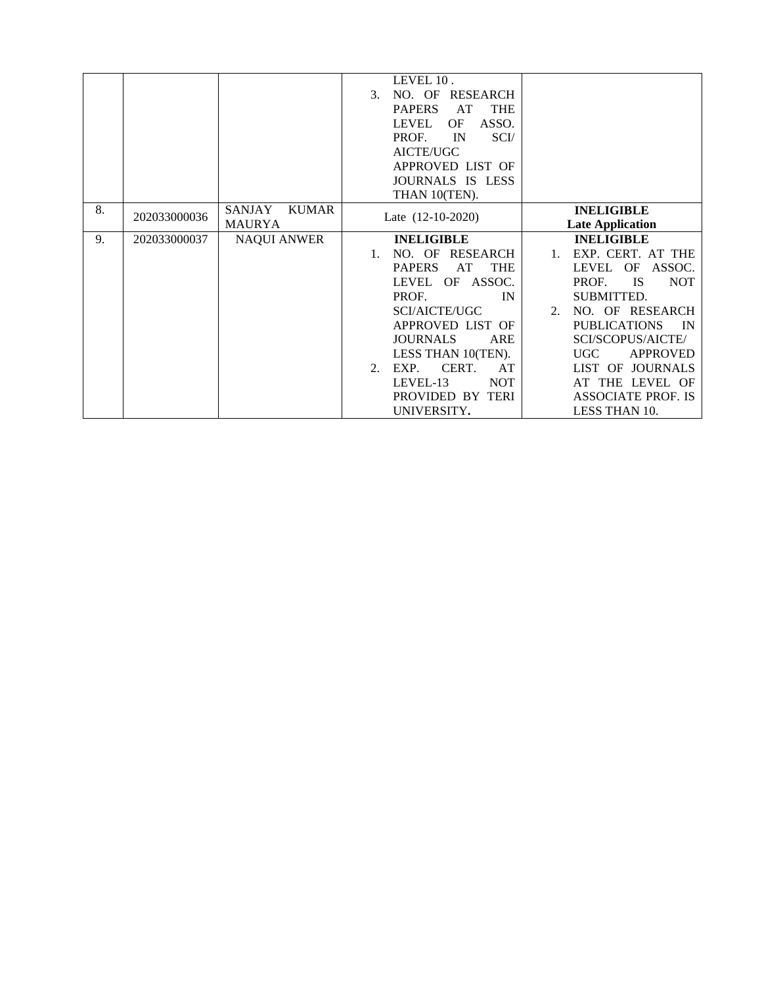|    |              |                               | LEVEL 10.                         |                                     |
|----|--------------|-------------------------------|-----------------------------------|-------------------------------------|
|    |              |                               | NO. OF RESEARCH<br>3 <sub>1</sub> |                                     |
|    |              |                               | AT<br><b>THE</b><br><b>PAPERS</b> |                                     |
|    |              |                               | ASSO.<br>OF<br>LEVEL              |                                     |
|    |              |                               | PROF.<br>IN<br>SCI/               |                                     |
|    |              |                               | AICTE/UGC                         |                                     |
|    |              |                               | APPROVED LIST OF                  |                                     |
|    |              |                               | JOURNALS IS LESS                  |                                     |
|    |              |                               | THAN 10(TEN).                     |                                     |
| 8. | 202033000036 | <b>SANJAY</b><br><b>KUMAR</b> | Late $(12-10-2020)$               | <b>INELIGIBLE</b>                   |
|    |              | <b>MAURYA</b>                 |                                   | <b>Late Application</b>             |
| 9. | 202033000037 | <b>NAQUI ANWER</b>            | <b>INELIGIBLE</b>                 | <b>INELIGIBLE</b>                   |
|    |              |                               | NO. OF RESEARCH<br>$1_{-}$        | EXP. CERT. AT THE<br>$\mathbf{1}$ . |
|    |              |                               | <b>PAPERS</b><br>AT<br><b>THE</b> | LEVEL OF<br>ASSOC.                  |
|    |              |                               | LEVEL OF ASSOC.                   | IS.<br><b>NOT</b><br>PROF.          |
|    |              |                               | PROF.<br>IN                       | SUBMITTED.                          |
|    |              |                               | <b>SCI/AICTE/UGC</b>              | 2. NO. OF RESEARCH                  |
|    |              |                               | APPROVED LIST OF                  | <b>PUBLICATIONS</b><br><b>IN</b>    |
|    |              |                               | <b>JOURNALS</b><br>ARE            | SCI/SCOPUS/AICTE/                   |
|    |              |                               | LESS THAN 10(TEN).                | UGC<br><b>APPROVED</b>              |
|    |              |                               | EXP. CERT.<br>AT<br>$2^{+}$       | LIST OF JOURNALS                    |
|    |              |                               | <b>NOT</b><br>LEVEL-13            | AT THE LEVEL OF                     |
|    |              |                               | PROVIDED BY TERI                  | <b>ASSOCIATE PROF. IS</b>           |
|    |              |                               | UNIVERSITY.                       | LESS THAN 10.                       |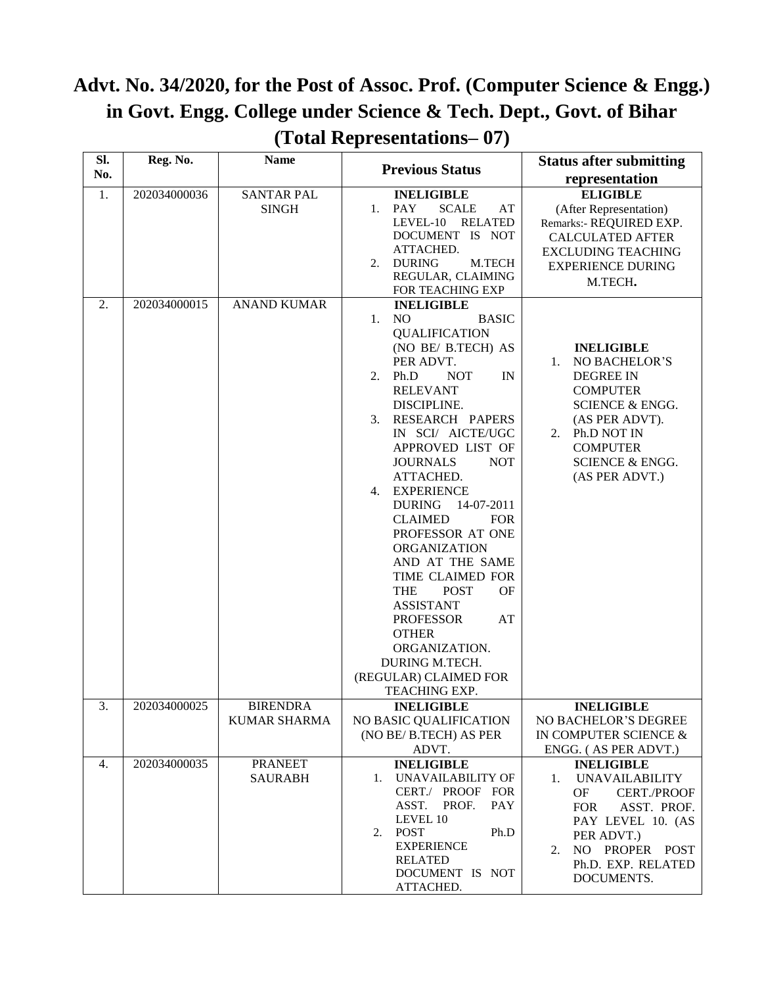## **Advt. No. 34/2020, for the Post of Assoc. Prof. (Computer Science & Engg.) in Govt. Engg. College under Science & Tech. Dept., Govt. of Bihar (Total Representations– 07)**

| SI. | Reg. No.     | <b>Name</b>                            | <b>Previous Status</b>                                                                                                                                                                                                                                                                                                                                                                                                                                                                                                                                                                                                                                      | <b>Status after submitting</b>                                                                                                                                                                                       |
|-----|--------------|----------------------------------------|-------------------------------------------------------------------------------------------------------------------------------------------------------------------------------------------------------------------------------------------------------------------------------------------------------------------------------------------------------------------------------------------------------------------------------------------------------------------------------------------------------------------------------------------------------------------------------------------------------------------------------------------------------------|----------------------------------------------------------------------------------------------------------------------------------------------------------------------------------------------------------------------|
| No. |              |                                        |                                                                                                                                                                                                                                                                                                                                                                                                                                                                                                                                                                                                                                                             | representation                                                                                                                                                                                                       |
| 1.  | 202034000036 | <b>SANTAR PAL</b><br><b>SINGH</b>      | <b>INELIGIBLE</b><br><b>PAY</b><br><b>SCALE</b><br>$1_{\cdot}$<br>AT<br>LEVEL-10<br><b>RELATED</b><br>DOCUMENT IS NOT<br>ATTACHED.<br><b>DURING</b><br>M.TECH<br>2.<br>REGULAR, CLAIMING<br>FOR TEACHING EXP                                                                                                                                                                                                                                                                                                                                                                                                                                                | <b>ELIGIBLE</b><br>(After Representation)<br>Remarks:- REQUIRED EXP.<br><b>CALCULATED AFTER</b><br><b>EXCLUDING TEACHING</b><br><b>EXPERIENCE DURING</b><br>M.TECH.                                                  |
| 2.  | 202034000015 | <b>ANAND KUMAR</b>                     | <b>INELIGIBLE</b><br>1.<br>N <sub>O</sub><br><b>BASIC</b><br><b>QUALIFICATION</b><br>(NO BE/ B.TECH) AS<br>PER ADVT.<br>Ph.D<br><b>NOT</b><br>IN<br>2.<br><b>RELEVANT</b><br>DISCIPLINE.<br>RESEARCH PAPERS<br>3.<br>IN SCI/ AICTE/UGC<br>APPROVED LIST OF<br><b>JOURNALS</b><br><b>NOT</b><br>ATTACHED.<br><b>EXPERIENCE</b><br>4.<br><b>DURING</b><br>14-07-2011<br><b>CLAIMED</b><br><b>FOR</b><br>PROFESSOR AT ONE<br>ORGANIZATION<br>AND AT THE SAME<br>TIME CLAIMED FOR<br><b>THE</b><br><b>POST</b><br>OF<br><b>ASSISTANT</b><br>AT<br><b>PROFESSOR</b><br><b>OTHER</b><br>ORGANIZATION.<br>DURING M.TECH.<br>(REGULAR) CLAIMED FOR<br>TEACHING EXP. | <b>INELIGIBLE</b><br>NO BACHELOR'S<br>1.<br><b>DEGREE IN</b><br><b>COMPUTER</b><br><b>SCIENCE &amp; ENGG.</b><br>(AS PER ADVT).<br>2. Ph.D NOT IN<br><b>COMPUTER</b><br><b>SCIENCE &amp; ENGG.</b><br>(AS PER ADVT.) |
| 3.  | 202034000025 | <b>BIRENDRA</b><br><b>KUMAR SHARMA</b> | <b>INELIGIBLE</b><br>NO BASIC QUALIFICATION<br>(NO BE/ B.TECH) AS PER<br>ADVT.                                                                                                                                                                                                                                                                                                                                                                                                                                                                                                                                                                              | <b>INELIGIBLE</b><br>NO BACHELOR'S DEGREE<br>IN COMPUTER SCIENCE &<br>ENGG. (AS PER ADVT.)                                                                                                                           |
| 4.  | 202034000035 | <b>PRANEET</b><br><b>SAURABH</b>       | <b>INELIGIBLE</b><br>UNAVAILABILITY OF<br>1.<br>CERT./ PROOF FOR<br>ASST.<br>PROF.<br><b>PAY</b><br>LEVEL 10<br><b>POST</b><br>Ph.D<br>2.<br><b>EXPERIENCE</b><br><b>RELATED</b><br>DOCUMENT IS NOT<br>ATTACHED.                                                                                                                                                                                                                                                                                                                                                                                                                                            | <b>INELIGIBLE</b><br><b>UNAVAILABILITY</b><br>1.<br><b>CERT./PROOF</b><br>OF<br>ASST. PROF.<br><b>FOR</b><br>PAY LEVEL 10. (AS<br>PER ADVT.)<br>NO PROPER POST<br>2.<br>Ph.D. EXP. RELATED<br>DOCUMENTS.             |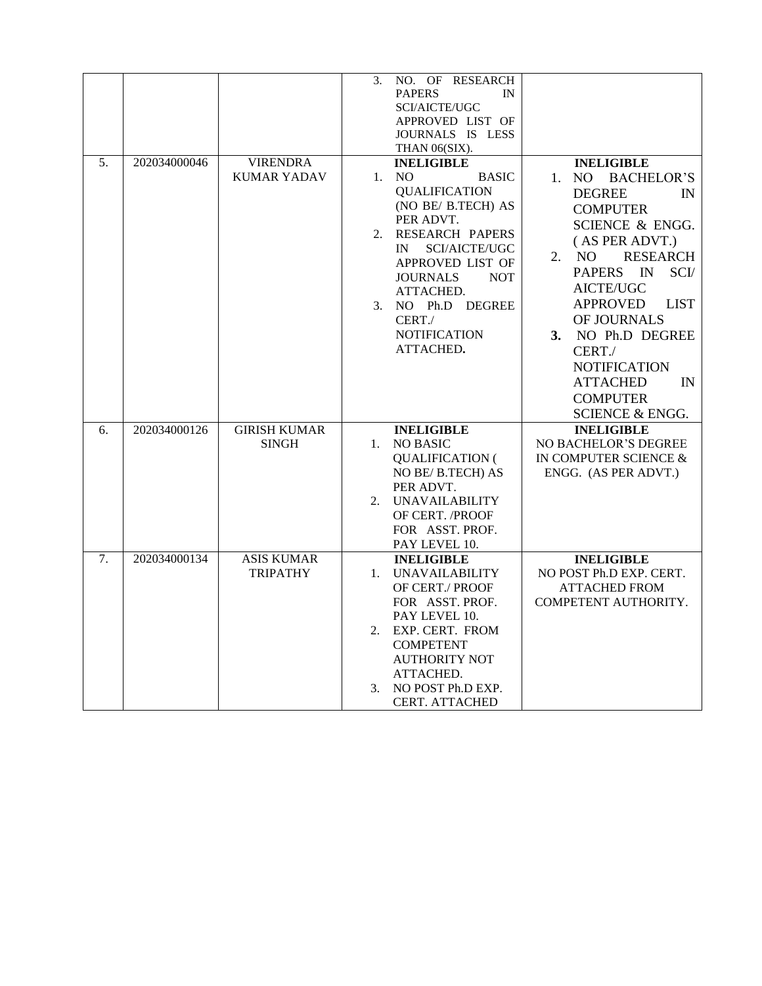|    |              |                     | 3.      | NO. OF RESEARCH                |                                 |
|----|--------------|---------------------|---------|--------------------------------|---------------------------------|
|    |              |                     |         | <b>PAPERS</b><br>IN            |                                 |
|    |              |                     |         | SCI/AICTE/UGC                  |                                 |
|    |              |                     |         | APPROVED LIST OF               |                                 |
|    |              |                     |         | JOURNALS IS LESS               |                                 |
|    |              |                     |         | THAN 06(SIX).                  |                                 |
| 5. | 202034000046 | <b>VIRENDRA</b>     |         | <b>INELIGIBLE</b>              | <b>INELIGIBLE</b>               |
|    |              | <b>KUMAR YADAV</b>  | 1.      | N <sub>O</sub><br><b>BASIC</b> | 1. NO<br><b>BACHELOR'S</b>      |
|    |              |                     |         | <b>QUALIFICATION</b>           | <b>DEGREE</b><br>$\mathbb{N}$   |
|    |              |                     |         | (NO BE/ B.TECH) AS             | <b>COMPUTER</b>                 |
|    |              |                     |         | PER ADVT.                      | <b>SCIENCE &amp; ENGG.</b>      |
|    |              |                     | 2.      | RESEARCH PAPERS                | (AS PER ADVT.)                  |
|    |              |                     |         | SCI/AICTE/UGC<br>IN            |                                 |
|    |              |                     |         | APPROVED LIST OF               | NO.<br><b>RESEARCH</b><br>2.    |
|    |              |                     |         | <b>JOURNALS</b><br><b>NOT</b>  | <b>PAPERS</b><br>SCI/<br>IN     |
|    |              |                     |         | ATTACHED.                      | AICTE/UGC                       |
|    |              |                     | 3.      | NO Ph.D DEGREE                 | <b>APPROVED</b><br><b>LIST</b>  |
|    |              |                     |         | CERT./                         | OF JOURNALS                     |
|    |              |                     |         | <b>NOTIFICATION</b>            | NO Ph.D DEGREE<br>3.            |
|    |              |                     |         | ATTACHED.                      | CERT./                          |
|    |              |                     |         |                                | <b>NOTIFICATION</b>             |
|    |              |                     |         |                                | <b>ATTACHED</b><br>$\mathbb{N}$ |
|    |              |                     |         |                                |                                 |
|    |              |                     |         |                                | <b>COMPUTER</b>                 |
|    |              |                     |         |                                | <b>SCIENCE &amp; ENGG.</b>      |
| 6. | 202034000126 | <b>GIRISH KUMAR</b> |         | <b>INELIGIBLE</b>              | <b>INELIGIBLE</b>               |
|    |              | <b>SINGH</b>        | $1_{-}$ | <b>NO BASIC</b>                | NO BACHELOR'S DEGREE            |
|    |              |                     |         | <b>QUALIFICATION (</b>         | IN COMPUTER SCIENCE &           |
|    |              |                     |         | NO BE/B.TECH) AS               | ENGG. (AS PER ADVT.)            |
|    |              |                     |         | PER ADVT.                      |                                 |
|    |              |                     | 2.      | <b>UNAVAILABILITY</b>          |                                 |
|    |              |                     |         | OF CERT. /PROOF                |                                 |
|    |              |                     |         | FOR ASST. PROF.                |                                 |
|    |              |                     |         | PAY LEVEL 10.                  |                                 |
| 7. | 202034000134 | <b>ASIS KUMAR</b>   |         | <b>INELIGIBLE</b>              | <b>INELIGIBLE</b>               |
|    |              | <b>TRIPATHY</b>     | 1.      | <b>UNAVAILABILITY</b>          | NO POST Ph.D EXP. CERT.         |
|    |              |                     |         | OF CERT./ PROOF                | <b>ATTACHED FROM</b>            |
|    |              |                     |         | FOR ASST. PROF.                | COMPETENT AUTHORITY.            |
|    |              |                     |         | PAY LEVEL 10.                  |                                 |
|    |              |                     | 2.      | EXP. CERT. FROM                |                                 |
|    |              |                     |         | <b>COMPETENT</b>               |                                 |
|    |              |                     |         | <b>AUTHORITY NOT</b>           |                                 |
|    |              |                     |         | ATTACHED.                      |                                 |
|    |              |                     | 3.      | NO POST Ph.D EXP.              |                                 |
|    |              |                     |         | <b>CERT. ATTACHED</b>          |                                 |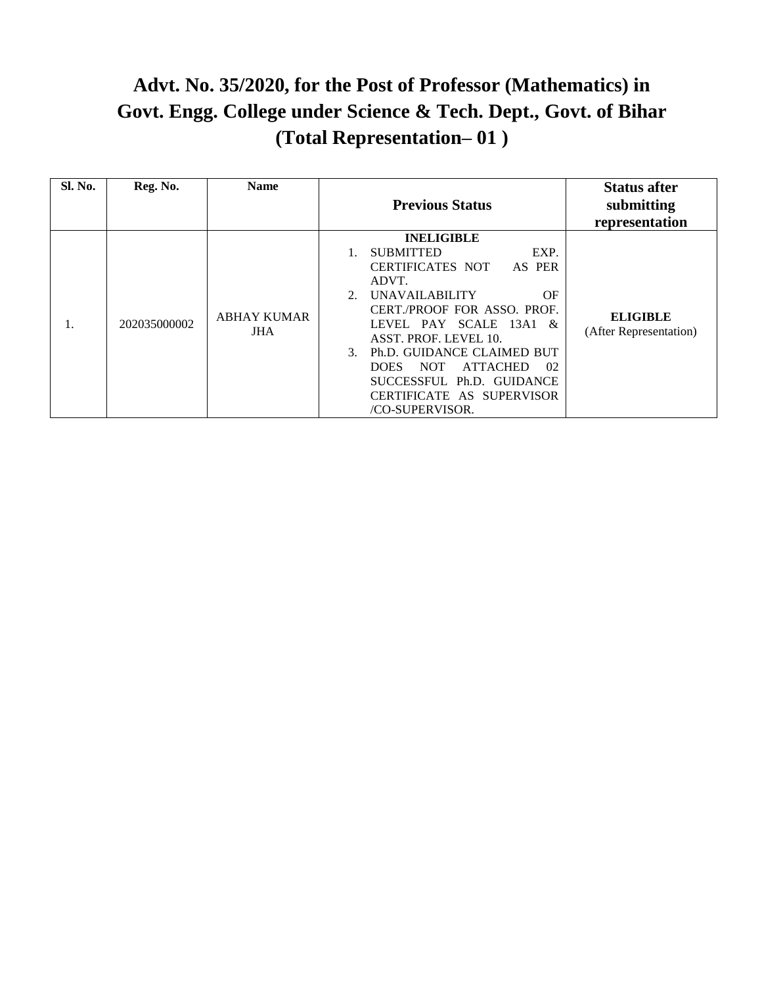## **Advt. No. 35/2020, for the Post of Professor (Mathematics) in Govt. Engg. College under Science & Tech. Dept., Govt. of Bihar (Total Representation– 01 )**

| Sl. No. | Reg. No.     | <b>Name</b>                | <b>Previous Status</b>                                                                                                                                                                                                                                                                                                                                                                                           | <b>Status after</b><br>submitting<br>representation |
|---------|--------------|----------------------------|------------------------------------------------------------------------------------------------------------------------------------------------------------------------------------------------------------------------------------------------------------------------------------------------------------------------------------------------------------------------------------------------------------------|-----------------------------------------------------|
| 1.      | 202035000002 | <b>ABHAY KUMAR</b><br>JHA. | <b>INELIGIBLE</b><br>EXP.<br><b>SUBMITTED</b><br><b>CERTIFICATES NOT</b><br>AS PER<br>ADVT.<br><b>UNAVAILABILITY</b><br>OF<br>$2_{1}$<br><b>CERT./PROOF FOR ASSO. PROF.</b><br>LEVEL PAY SCALE 13A1 &<br>ASST. PROF. LEVEL 10.<br>Ph.D. GUIDANCE CLAIMED BUT<br>$\mathcal{F}$<br><b>ATTACHED</b><br><b>NOT</b><br>02<br><b>DOES</b><br>SUCCESSFUL Ph.D. GUIDANCE<br>CERTIFICATE AS SUPERVISOR<br>/CO-SUPERVISOR. | <b>ELIGIBLE</b><br>(After Representation)           |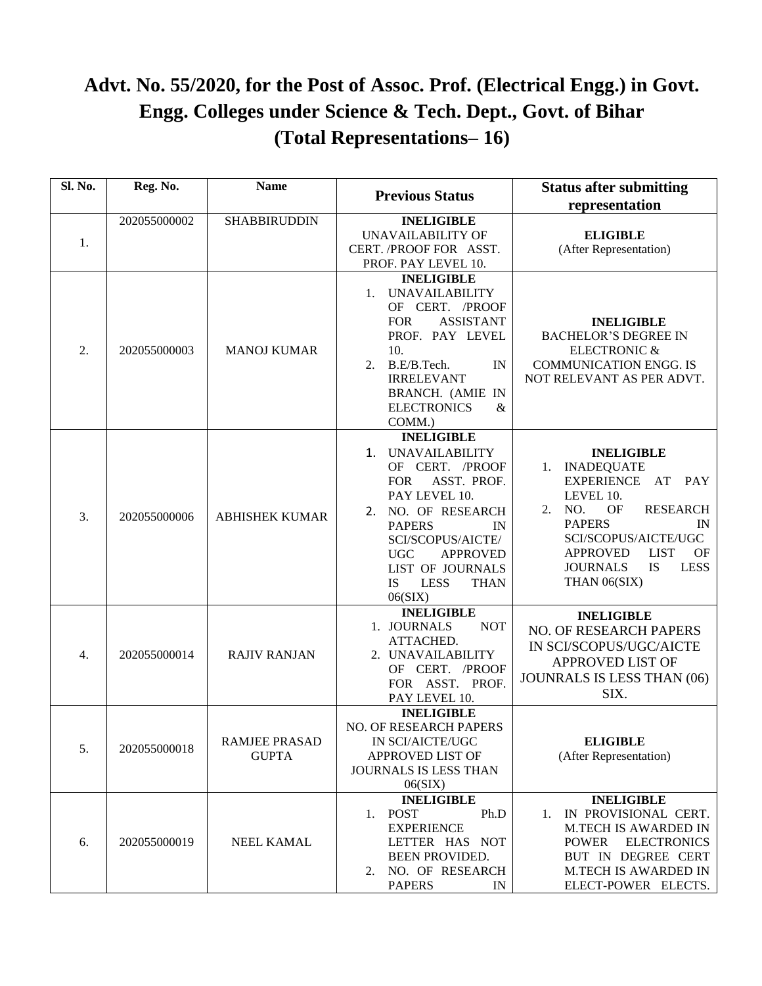## **Advt. No. 55/2020, for the Post of Assoc. Prof. (Electrical Engg.) in Govt. Engg. Colleges under Science & Tech. Dept., Govt. of Bihar (Total Representations– 16)**

| Sl. No. | Reg. No.     | <b>Name</b>                          | <b>Previous Status</b>                                                                                                                                                                                                                                                                                              | <b>Status after submitting</b><br>representation                                                                                                                                                                                                                              |
|---------|--------------|--------------------------------------|---------------------------------------------------------------------------------------------------------------------------------------------------------------------------------------------------------------------------------------------------------------------------------------------------------------------|-------------------------------------------------------------------------------------------------------------------------------------------------------------------------------------------------------------------------------------------------------------------------------|
| 1.      | 202055000002 | <b>SHABBIRUDDIN</b>                  | <b>INELIGIBLE</b><br><b>UNAVAILABILITY OF</b><br>CERT. /PROOF FOR ASST.<br>PROF. PAY LEVEL 10.                                                                                                                                                                                                                      | <b>ELIGIBLE</b><br>(After Representation)                                                                                                                                                                                                                                     |
| 2.      | 202055000003 | <b>MANOJ KUMAR</b>                   | <b>INELIGIBLE</b><br><b>UNAVAILABILITY</b><br>$1_{\cdot}$<br>OF CERT. /PROOF<br><b>ASSISTANT</b><br><b>FOR</b><br>PROF. PAY LEVEL<br>10.<br>B.E/B.Tech.<br>IN<br>2.<br><b>IRRELEVANT</b><br>BRANCH. (AMIE IN<br><b>ELECTRONICS</b><br>$\&$<br>COMM.)                                                                | <b>INELIGIBLE</b><br><b>BACHELOR'S DEGREE IN</b><br><b>ELECTRONIC &amp;</b><br><b>COMMUNICATION ENGG. IS</b><br>NOT RELEVANT AS PER ADVT.                                                                                                                                     |
| 3.      | 202055000006 | <b>ABHISHEK KUMAR</b>                | <b>INELIGIBLE</b><br><b>UNAVAILABILITY</b><br>$\mathbf{1}_{\cdot}$<br>OF CERT. /PROOF<br>ASST. PROF.<br><b>FOR</b><br>PAY LEVEL 10.<br>NO. OF RESEARCH<br>2.<br><b>PAPERS</b><br>IN<br>SCI/SCOPUS/AICTE/<br><b>APPROVED</b><br><b>UGC</b><br>LIST OF JOURNALS<br><b>IS</b><br><b>LESS</b><br><b>THAN</b><br>06(SIX) | <b>INELIGIBLE</b><br>1. INADEQUATE<br><b>EXPERIENCE</b><br>AT<br><b>PAY</b><br>LEVEL 10.<br>NO.<br><b>RESEARCH</b><br>OF<br>2.<br><b>PAPERS</b><br>IN<br>SCI/SCOPUS/AICTE/UGC<br><b>APPROVED</b><br><b>LIST</b><br>OF<br>IS<br><b>LESS</b><br><b>JOURNALS</b><br>THAN 06(SIX) |
| 4.      | 202055000014 | <b>RAJIV RANJAN</b>                  | <b>INELIGIBLE</b><br>1. JOURNALS<br><b>NOT</b><br>ATTACHED.<br>2. UNAVAILABILITY<br>OF CERT. /PROOF<br>FOR ASST. PROF.<br>PAY LEVEL 10.                                                                                                                                                                             | <b>INELIGIBLE</b><br>NO. OF RESEARCH PAPERS<br>IN SCI/SCOPUS/UGC/AICTE<br><b>APPROVED LIST OF</b><br>JOUNRALS IS LESS THAN (06)<br>SIX.                                                                                                                                       |
| 5.      | 202055000018 | <b>RAMJEE PRASAD</b><br><b>GUPTA</b> | <b>INELIGIBLE</b><br>NO. OF RESEARCH PAPERS<br>IN SCI/AICTE/UGC<br>APPROVED LIST OF<br>JOURNALS IS LESS THAN<br>06(SIX)                                                                                                                                                                                             | <b>ELIGIBLE</b><br>(After Representation)                                                                                                                                                                                                                                     |
| 6.      | 202055000019 | <b>NEEL KAMAL</b>                    | <b>INELIGIBLE</b><br><b>POST</b><br>Ph.D<br>1.<br><b>EXPERIENCE</b><br>LETTER HAS NOT<br><b>BEEN PROVIDED.</b><br>NO. OF RESEARCH<br>2.<br><b>PAPERS</b><br>IN                                                                                                                                                      | <b>INELIGIBLE</b><br>IN PROVISIONAL CERT.<br>1.<br><b>M.TECH IS AWARDED IN</b><br><b>POWER</b><br><b>ELECTRONICS</b><br>BUT IN DEGREE CERT<br>M.TECH IS AWARDED IN<br>ELECT-POWER ELECTS.                                                                                     |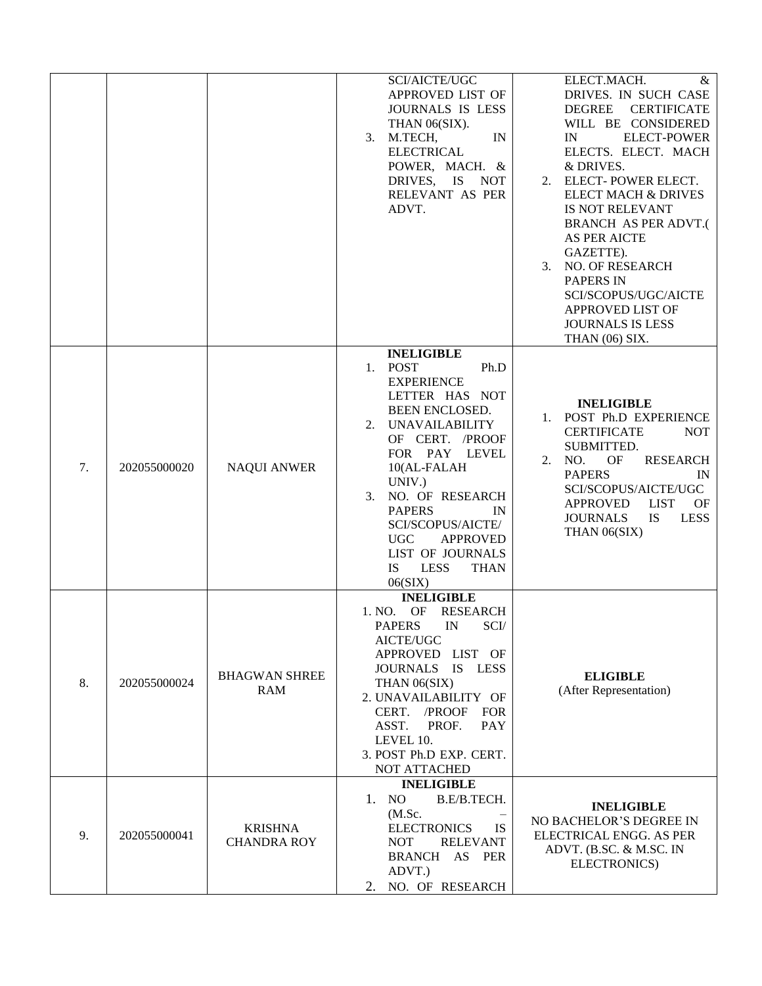|    |              |                                      | SCI/AICTE/UGC<br>APPROVED LIST OF<br>JOURNALS IS LESS<br>THAN 06(SIX).<br>M.TECH,<br>IN<br>3.<br><b>ELECTRICAL</b><br>POWER, MACH. &<br>DRIVES, IS<br><b>NOT</b><br>RELEVANT AS PER<br>ADVT.                                                                                                                                                                              | ELECT.MACH.<br>&<br>DRIVES. IN SUCH CASE<br><b>DEGREE</b><br><b>CERTIFICATE</b><br>WILL BE CONSIDERED<br><b>ELECT-POWER</b><br>IN<br>ELECTS. ELECT. MACH<br>& DRIVES.<br>2. ELECT-POWER ELECT.<br><b>ELECT MACH &amp; DRIVES</b><br>IS NOT RELEVANT<br><b>BRANCH AS PER ADVT.(</b><br>AS PER AICTE<br>GAZETTE).<br><b>NO. OF RESEARCH</b><br>3.<br><b>PAPERS IN</b><br>SCI/SCOPUS/UGC/AICTE<br>APPROVED LIST OF<br><b>JOURNALS IS LESS</b><br>THAN (06) SIX. |
|----|--------------|--------------------------------------|---------------------------------------------------------------------------------------------------------------------------------------------------------------------------------------------------------------------------------------------------------------------------------------------------------------------------------------------------------------------------|--------------------------------------------------------------------------------------------------------------------------------------------------------------------------------------------------------------------------------------------------------------------------------------------------------------------------------------------------------------------------------------------------------------------------------------------------------------|
| 7. | 202055000020 | <b>NAQUI ANWER</b>                   | <b>INELIGIBLE</b><br>1. POST<br>Ph.D<br><b>EXPERIENCE</b><br>LETTER HAS NOT<br>BEEN ENCLOSED.<br><b>UNAVAILABILITY</b><br>2.<br>OF CERT. /PROOF<br>FOR PAY LEVEL<br>10(AL-FALAH<br>UNIV.)<br>NO. OF RESEARCH<br>3.<br><b>PAPERS</b><br>IN<br>SCI/SCOPUS/AICTE/<br><b>UGC</b><br><b>APPROVED</b><br>LIST OF JOURNALS<br><b>IS</b><br><b>LESS</b><br><b>THAN</b><br>06(SIX) | <b>INELIGIBLE</b><br>POST Ph.D EXPERIENCE<br>1.<br><b>CERTIFICATE</b><br><b>NOT</b><br>SUBMITTED.<br>NO.<br><b>RESEARCH</b><br>2.<br>OF<br><b>PAPERS</b><br>IN<br>SCI/SCOPUS/AICTE/UGC<br><b>LIST</b><br><b>APPROVED</b><br>OF<br><b>JOURNALS</b><br>IS<br><b>LESS</b><br>THAN 06(SIX)                                                                                                                                                                       |
| 8. | 202055000024 | <b>BHAGWAN SHREE</b><br>RAM          | <b>INELIGIBLE</b><br>1. NO.<br>OF<br><b>RESEARCH</b><br><b>PAPERS</b><br>IN SCI/<br>AICTE/UGC<br>APPROVED LIST OF<br>JOURNALS IS LESS<br>THAN 06(SIX)<br>2. UNAVAILABILITY OF<br>CERT. /PROOF<br><b>FOR</b><br>ASST.<br><b>PAY</b><br>PROF.<br>LEVEL 10.<br>3. POST Ph.D EXP. CERT.<br><b>NOT ATTACHED</b>                                                                | <b>ELIGIBLE</b><br>(After Representation)                                                                                                                                                                                                                                                                                                                                                                                                                    |
| 9. | 202055000041 | <b>KRISHNA</b><br><b>CHANDRA ROY</b> | <b>INELIGIBLE</b><br>1. NO<br>B.E/B.TECH.<br>(M.Sc.<br><b>ELECTRONICS</b><br>IS.<br><b>RELEVANT</b><br><b>NOT</b><br>BRANCH AS PER<br>ADVT.)<br>NO. OF RESEARCH<br>2.                                                                                                                                                                                                     | <b>INELIGIBLE</b><br>NO BACHELOR'S DEGREE IN<br>ELECTRICAL ENGG. AS PER<br>ADVT. (B.SC. & M.SC. IN<br>ELECTRONICS)                                                                                                                                                                                                                                                                                                                                           |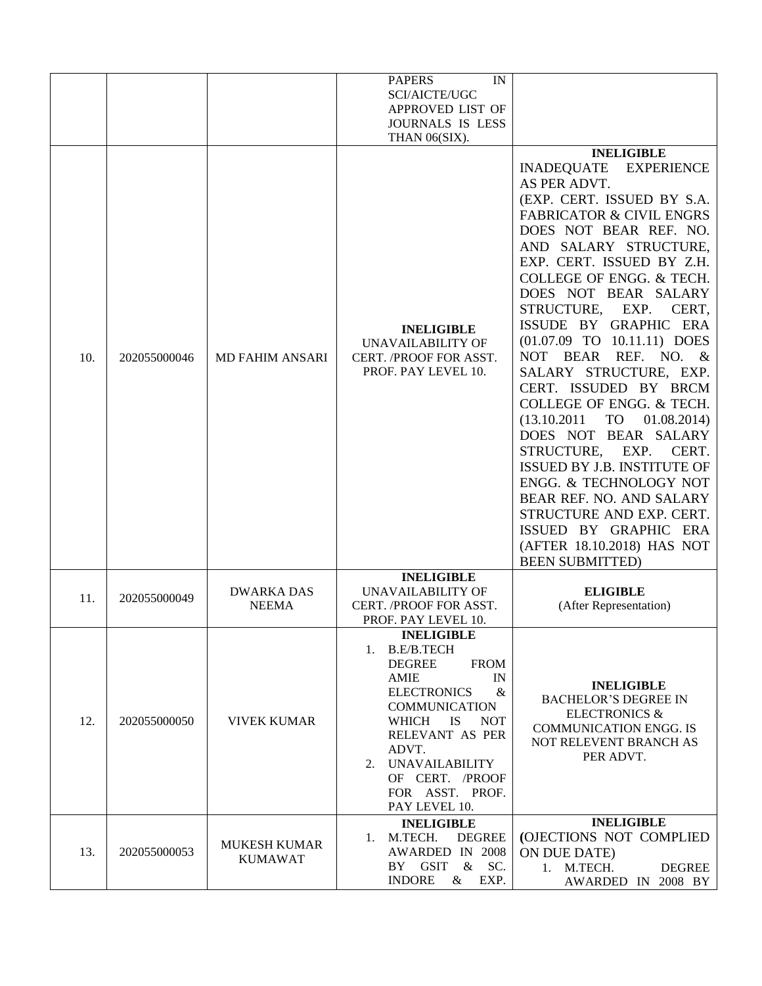|     |              |                                       | <b>PAPERS</b><br>IN<br>SCI/AICTE/UGC<br>APPROVED LIST OF<br>JOURNALS IS LESS<br>THAN 06(SIX).                                                                                                                                                                                                           |                                                                                                                                                                                                                                                                                                                                                                                                                                                                                                                                                                                                                                                                                                                                                                                                            |
|-----|--------------|---------------------------------------|---------------------------------------------------------------------------------------------------------------------------------------------------------------------------------------------------------------------------------------------------------------------------------------------------------|------------------------------------------------------------------------------------------------------------------------------------------------------------------------------------------------------------------------------------------------------------------------------------------------------------------------------------------------------------------------------------------------------------------------------------------------------------------------------------------------------------------------------------------------------------------------------------------------------------------------------------------------------------------------------------------------------------------------------------------------------------------------------------------------------------|
| 10. | 202055000046 | <b>MD FAHIM ANSARI</b>                | <b>INELIGIBLE</b><br>UNAVAILABILITY OF<br>CERT. /PROOF FOR ASST.<br>PROF. PAY LEVEL 10.                                                                                                                                                                                                                 | <b>INELIGIBLE</b><br><b>INADEQUATE</b><br><b>EXPERIENCE</b><br>AS PER ADVT.<br>(EXP. CERT. ISSUED BY S.A.<br><b>FABRICATOR &amp; CIVIL ENGRS</b><br>DOES NOT BEAR REF. NO.<br>AND SALARY STRUCTURE,<br>EXP. CERT. ISSUED BY Z.H.<br>COLLEGE OF ENGG. & TECH.<br>DOES NOT BEAR SALARY<br>STRUCTURE,<br>EXP.<br>CERT,<br>ISSUDE BY GRAPHIC ERA<br>(01.07.09 TO 10.11.11) DOES<br><b>BEAR</b><br>REF. NO. &<br><b>NOT</b><br>SALARY STRUCTURE, EXP.<br>CERT. ISSUDED BY BRCM<br>COLLEGE OF ENGG. & TECH.<br>TO<br>01.08.2014)<br>(13.10.2011)<br>DOES NOT BEAR SALARY<br>STRUCTURE,<br>EXP.<br>CERT.<br><b>ISSUED BY J.B. INSTITUTE OF</b><br>ENGG. & TECHNOLOGY NOT<br>BEAR REF. NO. AND SALARY<br>STRUCTURE AND EXP. CERT.<br>ISSUED BY GRAPHIC ERA<br>(AFTER 18.10.2018) HAS NOT<br><b>BEEN SUBMITTED)</b> |
| 11. | 202055000049 | <b>DWARKA DAS</b><br><b>NEEMA</b>     | <b>INELIGIBLE</b><br>UNAVAILABILITY OF<br>CERT. /PROOF FOR ASST.<br>PROF. PAY LEVEL 10.                                                                                                                                                                                                                 | <b>ELIGIBLE</b><br>(After Representation)                                                                                                                                                                                                                                                                                                                                                                                                                                                                                                                                                                                                                                                                                                                                                                  |
| 12. | 202055000050 | <b>VIVEK KUMAR</b>                    | <b>INELIGIBLE</b><br><b>B.E/B.TECH</b><br>1.<br><b>DEGREE</b><br><b>FROM</b><br><b>AMIE</b><br>IN<br><b>ELECTRONICS</b><br>$\&$<br><b>COMMUNICATION</b><br>WHICH<br>IS.<br><b>NOT</b><br>RELEVANT AS PER<br>ADVT.<br><b>UNAVAILABILITY</b><br>2.<br>OF CERT. /PROOF<br>FOR ASST. PROF.<br>PAY LEVEL 10. | <b>INELIGIBLE</b><br><b>BACHELOR'S DEGREE IN</b><br><b>ELECTRONICS &amp;</b><br><b>COMMUNICATION ENGG. IS</b><br>NOT RELEVENT BRANCH AS<br>PER ADVT.                                                                                                                                                                                                                                                                                                                                                                                                                                                                                                                                                                                                                                                       |
| 13. | 202055000053 | <b>MUKESH KUMAR</b><br><b>KUMAWAT</b> | <b>INELIGIBLE</b><br>1. M.TECH.<br><b>DEGREE</b><br>AWARDED IN 2008<br>BY GSIT<br>& SC.<br><b>INDORE</b><br>$\&$<br>EXP.                                                                                                                                                                                | <b>INELIGIBLE</b><br>(OJECTIONS NOT COMPLIED<br>ON DUE DATE)<br>1. M.TECH.<br><b>DEGREE</b><br>AWARDED IN 2008 BY                                                                                                                                                                                                                                                                                                                                                                                                                                                                                                                                                                                                                                                                                          |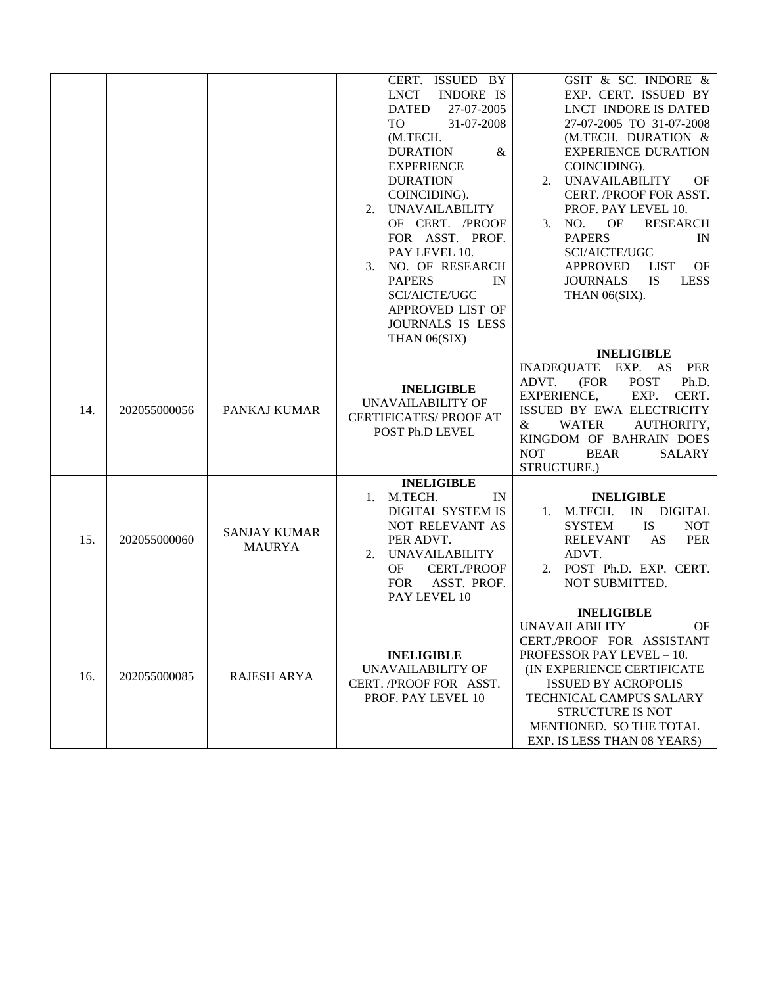|     |              |                                      | CERT. ISSUED BY<br><b>LNCT</b><br><b>INDORE IS</b><br><b>DATED</b><br>27-07-2005<br>31-07-2008<br>TO<br>(M.TECH.<br><b>DURATION</b><br>&<br><b>EXPERIENCE</b><br><b>DURATION</b><br>COINCIDING).<br><b>UNAVAILABILITY</b><br>2.<br>OF CERT. /PROOF<br>FOR ASST. PROF.<br>PAY LEVEL 10.<br>NO. OF RESEARCH<br>3.<br><b>PAPERS</b><br>IN<br>SCI/AICTE/UGC<br>APPROVED LIST OF<br>JOURNALS IS LESS<br>THAN 06(SIX) | GSIT & SC. INDORE &<br>EXP. CERT. ISSUED BY<br>LNCT INDORE IS DATED<br>27-07-2005 TO 31-07-2008<br>(M.TECH. DURATION &<br><b>EXPERIENCE DURATION</b><br>COINCIDING).<br>2. UNAVAILABILITY<br>OF<br>CERT. /PROOF FOR ASST.<br>PROF. PAY LEVEL 10.<br>OF<br><b>RESEARCH</b><br>3.<br>NO.<br><b>PAPERS</b><br>IN<br><b>SCI/AICTE/UGC</b><br><b>APPROVED</b><br><b>LIST</b><br>OF<br><b>JOURNALS</b><br><b>IS</b><br><b>LESS</b><br>THAN 06(SIX). |
|-----|--------------|--------------------------------------|-----------------------------------------------------------------------------------------------------------------------------------------------------------------------------------------------------------------------------------------------------------------------------------------------------------------------------------------------------------------------------------------------------------------|-----------------------------------------------------------------------------------------------------------------------------------------------------------------------------------------------------------------------------------------------------------------------------------------------------------------------------------------------------------------------------------------------------------------------------------------------|
| 14. | 202055000056 | PANKAJ KUMAR                         | <b>INELIGIBLE</b><br>UNAVAILABILITY OF<br><b>CERTIFICATES/ PROOF AT</b><br>POST Ph.D LEVEL                                                                                                                                                                                                                                                                                                                      | <b>INELIGIBLE</b><br><b>INADEQUATE</b><br>EXP. AS<br>PER<br>(FOR<br><b>POST</b><br>Ph.D.<br>ADVT.<br>EXP.<br>CERT.<br><b>EXPERIENCE,</b><br>ISSUED BY EWA ELECTRICITY<br><b>WATER</b><br>AUTHORITY,<br>&<br>KINGDOM OF BAHRAIN DOES<br><b>NOT</b><br><b>BEAR</b><br>SALARY<br>STRUCTURE.)                                                                                                                                                     |
| 15. | 202055000060 | <b>SANJAY KUMAR</b><br><b>MAURYA</b> | <b>INELIGIBLE</b><br>M.TECH.<br>IN<br>1.<br>DIGITAL SYSTEM IS<br>NOT RELEVANT AS<br>PER ADVT.<br><b>UNAVAILABILITY</b><br>2.<br>OF<br><b>CERT./PROOF</b><br><b>FOR</b><br>ASST. PROF.<br>PAY LEVEL 10                                                                                                                                                                                                           | <b>INELIGIBLE</b><br>1. M.TECH.<br>$\ensuremath{\text{IN}}$<br><b>DIGITAL</b><br><b>IS</b><br><b>SYSTEM</b><br><b>NOT</b><br><b>RELEVANT</b><br>AS<br><b>PER</b><br>ADVT.<br>2. POST Ph.D. EXP. CERT.<br>NOT SUBMITTED.                                                                                                                                                                                                                       |
| 16. | 202055000085 | <b>RAJESH ARYA</b>                   | <b>INELIGIBLE</b><br>UNAVAILABILITY OF<br>CERT. /PROOF FOR ASST.<br>PROF. PAY LEVEL 10                                                                                                                                                                                                                                                                                                                          | <b>INELIGIBLE</b><br><b>UNAVAILABILITY</b><br>OF.<br>CERT./PROOF FOR ASSISTANT<br><b>PROFESSOR PAY LEVEL - 10.</b><br>(IN EXPERIENCE CERTIFICATE<br><b>ISSUED BY ACROPOLIS</b><br>TECHNICAL CAMPUS SALARY<br>STRUCTURE IS NOT<br>MENTIONED. SO THE TOTAL<br>EXP. IS LESS THAN 08 YEARS)                                                                                                                                                       |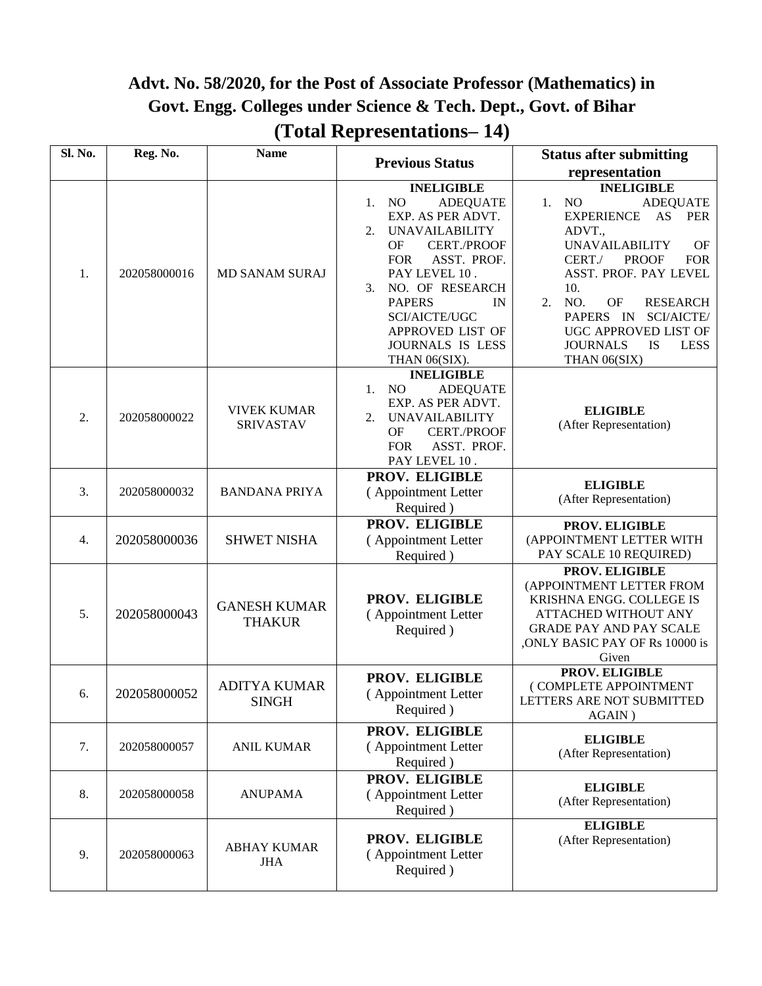#### **Advt. No. 58/2020, for the Post of Associate Professor (Mathematics) in Govt. Engg. Colleges under Science & Tech. Dept., Govt. of Bihar (Total Representations– 14)**

| Sl. No. | Reg. No.     | <b>Name</b>                            | <b>Previous Status</b>                                                                                                                                                                                                                                                                                               | <b>Status after submitting</b>                                                                                                                                                                                                                                                                                                                                     |
|---------|--------------|----------------------------------------|----------------------------------------------------------------------------------------------------------------------------------------------------------------------------------------------------------------------------------------------------------------------------------------------------------------------|--------------------------------------------------------------------------------------------------------------------------------------------------------------------------------------------------------------------------------------------------------------------------------------------------------------------------------------------------------------------|
|         |              |                                        |                                                                                                                                                                                                                                                                                                                      | representation                                                                                                                                                                                                                                                                                                                                                     |
| 1.      | 202058000016 | <b>MD SANAM SURAJ</b>                  | <b>INELIGIBLE</b><br>N <sub>O</sub><br><b>ADEQUATE</b><br>1.<br>EXP. AS PER ADVT.<br><b>UNAVAILABILITY</b><br>2.<br>OF<br><b>CERT./PROOF</b><br>ASST. PROF.<br><b>FOR</b><br>PAY LEVEL 10.<br>NO. OF RESEARCH<br>3.<br><b>PAPERS</b><br>IN<br>SCI/AICTE/UGC<br>APPROVED LIST OF<br>JOURNALS IS LESS<br>THAN 06(SIX). | <b>INELIGIBLE</b><br><b>ADEQUATE</b><br>NO<br>1.<br>AS<br><b>EXPERIENCE</b><br><b>PER</b><br>ADVT.,<br><b>UNAVAILABILITY</b><br>OF<br><b>PROOF</b><br>CERT./<br><b>FOR</b><br>ASST. PROF. PAY LEVEL<br>10.<br>2.<br>NO.<br>OF<br><b>RESEARCH</b><br>PAPERS IN<br>SCI/AICTE/<br>UGC APPROVED LIST OF<br><b>JOURNALS</b><br><b>IS</b><br><b>LESS</b><br>THAN 06(SIX) |
| 2.      | 202058000022 | <b>VIVEK KUMAR</b><br><b>SRIVASTAV</b> | <b>INELIGIBLE</b><br>NO<br><b>ADEQUATE</b><br>1.<br>EXP. AS PER ADVT.<br><b>UNAVAILABILITY</b><br>2.<br>OF<br><b>CERT./PROOF</b><br>ASST. PROF.<br><b>FOR</b><br>PAY LEVEL 10.                                                                                                                                       | <b>ELIGIBLE</b><br>(After Representation)                                                                                                                                                                                                                                                                                                                          |
| 3.      | 202058000032 | <b>BANDANA PRIYA</b>                   | PROV. ELIGIBLE<br>(Appointment Letter<br>Required)                                                                                                                                                                                                                                                                   | <b>ELIGIBLE</b><br>(After Representation)                                                                                                                                                                                                                                                                                                                          |
| 4.      | 202058000036 | <b>SHWET NISHA</b>                     | PROV. ELIGIBLE<br>(Appointment Letter<br>Required)                                                                                                                                                                                                                                                                   | PROV. ELIGIBLE<br>(APPOINTMENT LETTER WITH<br>PAY SCALE 10 REQUIRED)                                                                                                                                                                                                                                                                                               |
| 5.      | 202058000043 | <b>GANESH KUMAR</b><br><b>THAKUR</b>   | PROV. ELIGIBLE<br>(Appointment Letter<br>Required)                                                                                                                                                                                                                                                                   | PROV. ELIGIBLE<br>(APPOINTMENT LETTER FROM<br>KRISHNA ENGG. COLLEGE IS<br><b>ATTACHED WITHOUT ANY</b><br><b>GRADE PAY AND PAY SCALE</b><br>, ONLY BASIC PAY OF Rs 10000 is<br>Given                                                                                                                                                                                |
| 6.      | 202058000052 | <b>ADITYA KUMAR</b><br><b>SINGH</b>    | PROV. ELIGIBLE<br>(Appointment Letter<br>Required)                                                                                                                                                                                                                                                                   | PROV. ELIGIBLE<br>(COMPLETE APPOINTMENT<br>LETTERS ARE NOT SUBMITTED<br>AGAIN)                                                                                                                                                                                                                                                                                     |
| 7.      | 202058000057 | <b>ANIL KUMAR</b>                      | PROV. ELIGIBLE<br>(Appointment Letter<br>Required)                                                                                                                                                                                                                                                                   | <b>ELIGIBLE</b><br>(After Representation)                                                                                                                                                                                                                                                                                                                          |
| 8.      | 202058000058 | <b>ANUPAMA</b>                         | PROV. ELIGIBLE<br>(Appointment Letter<br>Required)                                                                                                                                                                                                                                                                   | <b>ELIGIBLE</b><br>(After Representation)                                                                                                                                                                                                                                                                                                                          |
| 9.      | 202058000063 | <b>ABHAY KUMAR</b><br><b>JHA</b>       | PROV. ELIGIBLE<br>(Appointment Letter<br>Required)                                                                                                                                                                                                                                                                   | <b>ELIGIBLE</b><br>(After Representation)                                                                                                                                                                                                                                                                                                                          |